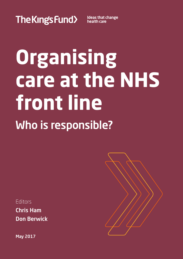The Kings Fund>

**Ideas that change** health care

# **Organising care at the NHS front line** Who is responsible?

Editors

Chris Ham Don Berwick

May 2017

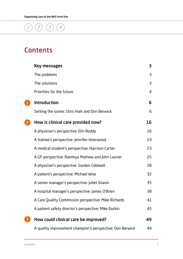### $\binom{1}{2}$  $\binom{1}{2}$  $\binom{1}{2}$  $\binom{1}{2}$  $\binom{1}{2}$   $\binom{2}{3}$  $\binom{2}{3}$  $\binom{2}{3}$   $\binom{4}{4}$  $\binom{4}{4}$  $\binom{4}{4}$

### **Contents**

| Key messages                                              | 3              |
|-----------------------------------------------------------|----------------|
| The problems                                              | $\overline{3}$ |
| The solutions                                             | $\overline{3}$ |
| Priorities for the future                                 | $\overline{4}$ |
| <b>Introduction</b>                                       | 6              |
| Setting the scene: Chris Ham and Don Berwick              | 6              |
| How is clinical care provided now?                        | 16             |
| A physician's perspective: Elin Roddy                     | 16             |
| A trainee's perspective: Jennifer Isherwood               | 19             |
| A medical student's perspective: Harrison Carter          | 23             |
| A GP perspective: Rammya Mathew and John Launer           | 25             |
| A physician's perspective: Gordon Caldwell                | 28             |
| A patient's perspective: Michael Wise                     | 32             |
| A senior manager's perspective: Juliet Shavin             | 35             |
| A hospital manager's perspective: James O'Brien           | 38             |
| A Care Quality Commission perspective: Mike Richards      | 41             |
| A patient safety director's perspective: Mike Durkin      | 45             |
| How could clinical care be improved?                      | 49             |
| A quality improvement champion's perspective: Don Berwick | 49             |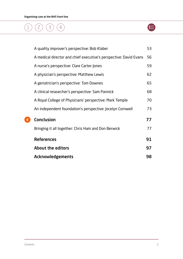| A quality improver's perspective: Bob Klaber                      | 53 |
|-------------------------------------------------------------------|----|
| A medical director and chief executive's perspective: David Evans | 56 |
| A nurse's perspective: Clare Carter-Jones                         | 59 |
| A physician's perspective: Matthew Lewis                          | 62 |
| A geriatrician's perspective: Tom Downes                          | 65 |
| A clinical researcher's perspective: Sam Pannick                  | 68 |
| A Royal College of Physicians' perspective: Mark Temple           | 70 |
| An independent foundation's perspective: Jocelyn Cornwell         | 73 |
| <b>Conclusion</b>                                                 | 77 |
| Bringing it all together: Chris Ham and Don Berwick               | 77 |
| <b>References</b>                                                 | 91 |
| <b>About the editors</b>                                          | 97 |
| <b>Acknowledgements</b>                                           | 98 |

[4](#page-77-0)

 $\bigoplus$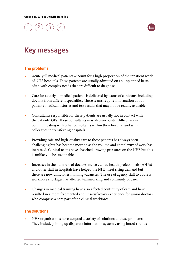

### <span id="page-3-0"></span>Key messages

### The problems

- **•** Acutely ill medical patients account for a high proportion of the inpatient work of NHS hospitals. These patients are usually admitted on an unplanned basis, often with complex needs that are difficult to diagnose.
- **•** Care for acutely ill medical patients is delivered by teams of clinicians, including doctors from different specialties. These teams require information about patients' medical histories and test results that may not be readily available.
- **•** Consultants responsible for these patients are usually not in contact with the patients' GPs. These consultants may also encounter difficulties in communicating with other consultants within their hospital and with colleagues in transferring hospitals.
- **•** Providing safe and high-quality care to these patients has always been challenging but has become more so as the volume and complexity of work has increased. Clinical teams have absorbed growing pressures on the NHS but this is unlikely to be sustainable.
- **•** Increases in the numbers of doctors, nurses, allied health professionals (AHPs) and other staff in hospitals have helped the NHS meet rising demand but there are now difficulties in filling vacancies. The use of agency staff to address workforce shortages has affected teamworking and continuity of care.
- **•** Changes in medical training have also affected continuity of care and have resulted in a more fragmented and unsatisfactory experience for junior doctors, who comprise a core part of the clinical workforce.

### The solutions

**•** NHS organisations have adopted a variety of solutions to these problems. They include joining up disparate information systems, using board rounds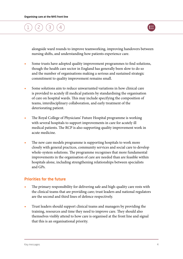

<span id="page-4-0"></span>alongside ward rounds to improve teamworking, improving handovers between nursing shifts, and understanding how patients experience care.

- **•** Some trusts have adopted quality improvement programmes to find solutions, though the health care sector in England has generally been slow to do so and the number of organisations making a serious and sustained strategic commitment to quality improvement remains small.
- **•** Some solutions aim to reduce unwarranted variations in how clinical care is provided to acutely ill medical patients by standardising the organisation of care on hospital wards. This may include specifying the composition of teams, interdisciplinary collaboration, and early treatment of the deteriorating patient.
- **•** The Royal College of Physicians' Future Hospital programme is working with several hospitals to support improvements in care for acutely ill medical patients. The RCP is also supporting quality improvement work in acute medicine.
- **•** The new care models programme is supporting hospitals to work more closely with general practices, community services and social care to develop whole-system solutions. The programme recognises that more fundamental improvements in the organisation of care are needed than are feasible within hospitals alone, including strengthening relationships between specialists and GPs.

### Priorities for the future

- **•** The primary responsibility for delivering safe and high-quality care rests with the clinical teams that are providing care; trust leaders and national regulators are the second and third lines of defence respectively.
- **•** Trust leaders should support clinical teams and managers by providing the training, resources and time they need to improve care. They should also themselves visibly attend to how care is organised at the front line and signal that this is an organisational priority.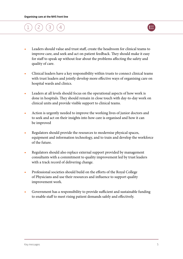

- **•** Leaders should value and trust staff, create the headroom for clinical teams to improve care, and seek and act on patient feedback. They should make it easy for staff to speak up without fear about the problems affecting the safety and quality of care.
- **•** Clinical leaders have a key responsibility within trusts to connect clinical teams with trust leaders and jointly develop more effective ways of organising care on hospital wards and clinics.
- **•** Leaders at all levels should focus on the operational aspects of how work is done in hospitals. They should remain in close touch with day-to-day work on clinical units and provide visible support to clinical teams.
- **•** Action is urgently needed to improve the working lives of junior doctors and to seek and act on their insights into how care is organised and how it can be improved
- **•** Regulators should provide the resources to modernise physical spaces, equipment and information technology, and to train and develop the workforce of the future.
- **•** Regulators should also replace external support provided by management consultants with a commitment to quality improvement led by trust leaders with a track record of delivering change.
- **•** Professional societies should build on the efforts of the Royal College of Physicians and use their resources and influence to support quality improvement work.
- **•** Government has a responsibility to provide sufficient and sustainable funding to enable staff to meet rising patient demands safely and effectively.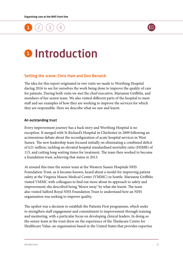

# <span id="page-6-0"></span>**0** Introduction

#### Setting the scene: Chris Ham and Don Berwick

The idea for this report originated in two visits we made to Worthing Hospital during 2016 to see for ourselves the work being done to improve the quality of care for patients. During both visits we met the chief executive, Marianne Griffiths, and members of her senior team. We also visited different parts of the hospital to meet staff and see examples of how they are working to improve the services for which they are responsible. Here we describe what we saw and learnt.

#### An outstanding trust

Every improvement journey has a back story and Worthing Hospital is no exception. It merged with St Richard's Hospital in Chichester in 2009 following an acrimonious debate about the reconfiguration of acute hospital services in West Sussex. The new leadership team focused initially on eliminating a combined deficit of £21 million, tackling an elevated hospital standardised mortality ratio (HSMR) of 115, and cutting long waiting times for treatment. The team then worked to become a foundation trust, achieving that status in 2013.

At around this time the senior team at the Western Sussex Hospitals NHS Foundation Trust, as it became known, heard about a model for improving patient safety at the Virginia Mason Medical Center (VMMC) in Seattle. Marianne Griffiths visited VMMC with colleagues to find out more about its approach to safety and improvement; she described being 'blown away' by what she learnt. The team also visited Salford Royal NHS Foundation Trust to understand how an NHS organisation was seeking to improve quality.

The upshot was a decision to establish the Patients First programme, which seeks to strengthen staff engagement and commitment to improvement through training and mentoring, with a particular focus on developing clinical leaders. In doing so the senior team at the trust drew on the experience of the Thedacare Centre for Healthcare Value, an organisation based in the United States that provides expertise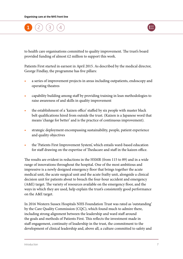

to health care organisations committed to quality improvement. The trust's board provided funding of almost £2 million to support this work.

Patients First started in earnest in April 2015. As described by the medical director, George Findlay, the programme has five pillars:

- **•** a series of improvement projects in areas including outpatients, endoscopy and operating theatres
- **•** capability building among staff by providing training in lean methodologies to raise awareness of and skills in quality improvement
- the establishment of a 'kaizen office' staffed by six people with master black belt qualifications hired from outside the trust. (Kaizen is a Japanese word that means 'change for better' and is the practice of continuous improvement).
- **•** strategic deployment encompassing sustainability, people, patient experience and quality objectives
- **•** the 'Patients First Improvement System', which entails ward-based education for staff drawing on the expertise of Thedacare and staff in the kaizen office.

The results are evident in reductions in the HSMR (from 115 to 89) and in a wide range of innovations throughout the hospital. One of the most ambitious and impressive is a newly designed emergency floor that brings together the acute medical unit, the acute surgical unit and the acute frailty unit, alongside a clinical decision unit for patients about to breach the four-hour accident and emergency (A&E) target. The variety of resources available on the emergency floor, and the ways in which they are used, help explain the trust's consistently good performance on the A&E target.

In 2016 Western Sussex Hospitals NHS Foundation Trust was rated as 'outstanding' by the Care Quality Commission (CQC), which found much to admire there, including strong alignment between the leadership and ward staff around the goals and methods of Patients First. This reflects the investment made in staff engagement, continuity of leadership in the trust, the commitment to the development of clinical leadership and, above all, a culture committed to safety and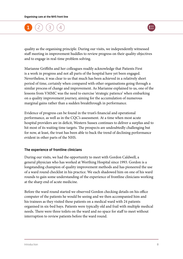

quality as the organising principle. During our visits, we independently witnessed staff meeting in improvement huddles to review progress on their quality objectives and to engage in real-time problem solving.

Marianne Griffiths and her colleagues readily acknowledge that Patients First is a work in progress and not all parts of the hospital have yet been engaged. Nevertheless, it was clear to us that much has been achieved in a relatively short period of time, certainly when compared with other organisations going through a similar process of change and improvement. As Marianne explained to us, one of the lessons from VMMC was the need to exercise 'strategic patience' when embarking on a quality improvement journey, aiming for the accumulation of numerous marginal gains rather than a sudden breakthrough in performance.

Evidence of progress can be found in the trust's financial and operational performance, as well as in the CQC's assessment. At a time when most acute hospital providers are in deficit, Western Sussex continues to deliver a surplus and to hit most of its waiting time targets. The prospects are undoubtedly challenging but for now, at least, the trust has been able to buck the trend of declining performance evident in other parts of the NHS.

#### The experience of frontline clinicians

During our visits, we had the opportunity to meet with Gordon Caldwell, a general physician who has worked at Worthing Hospital since 1993. Gordon is a longstanding champion of quality improvement methods and has pioneered the use of a ward round checklist in his practice. We each shadowed him on one of his ward rounds to gain some understanding of the experience of frontline clinicians working at the sharp end of acute medicine.

Before the ward round started we observed Gordon checking details on his office computer of the patients he would be seeing and we then accompanied him and his trainees as they visited these patients on a medical ward with 24 patients organised in six-bed bays. Patients were typically old and frail with multiple medical needs. There were three toilets on the ward and no space for staff to meet without interruption to review patients before the ward round.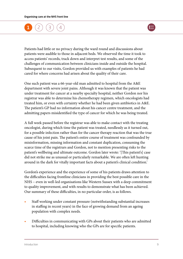

Patients had little or no privacy during the ward round and discussions about patients were audible to those in adjacent beds. We observed the time it took to access patients' records, track down and interpret test results, and some of the challenges of communication between clinicians inside and outside the hospital. Subsequent to our visits, Gordon provided us with examples of patients he had cared for where concerns had arisen about the quality of their care.

One such patient was a 66-year-old man admitted to hospital from the A&E department with severe joint pains. Although it was known that the patient was under treatment for cancer at a nearby specialty hospital, neither Gordon nor his registrar was able to determine his chemotherapy regimen, which oncologists had treated him, or even with certainty whether he had been given antibiotics in A&E. The patient's GP had no information about his cancer centre treatment, and the admitting papers misidentified the type of cancer for which he was being treated.

A full week passed before the registrar was able to make contact with the treating oncologist, during which time the patient was treated, needlessly as it turned out, for a possible infection rather than for the cancer therapy reaction that was the true cause of his joint pain. The patient's entire course of treatment was confounded by misinformation, missing information and constant duplication, consuming the scarce time of the registrars and Gordon, not to mention presenting risks to the patient's wellbeing and ultimate outcome. Gordon later wrote: '[This patient's] case did not strike me as unusual or particularly remarkable. We are often left hunting around in the dark for vitally important facts about a patient's clinical condition.'

Gordon's experience and the experience of some of his patients draws attention to the difficulties facing frontline clinicians in providing the best possible care in the NHS – even in well-led organisations like Western Sussex with a deep commitment to quality improvement, and with results to demonstrate what has been achieved. Our summary of these difficulties, in no particular order, is as follows.

- **•** Staff working under constant pressure (notwithstanding substantial increases in staffing in recent years) in the face of growing demand from an ageing population with complex needs.
- **•** Difficulties in communicating with GPs about their patients who are admitted to hospital, including knowing who the GPs are for specific patients.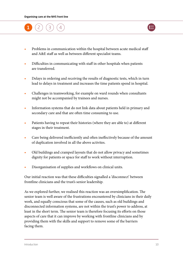



- **•** Problems in communication within the hospital between acute medical staff and A&E staff as well as between different specialist teams.
- **•** Difficulties in communicating with staff in other hospitals when patients are transferred.
- **•** Delays in ordering and receiving the results of diagnostic tests, which in turn lead to delays in treatment and increases the time patients spend in hospital.
- **•** Challenges in teamworking, for example on ward rounds when consultants might not be accompanied by trainees and nurses.
- **•** Information systems that do not link data about patients held in primary and secondary care and that are often time consuming to use.
- **•** Patients having to repeat their histories (where they are able to) at different stages in their treatment.
- **•** Care being delivered inefficiently and often ineffectively because of the amount of duplication involved in all the above activites.
- **•** Old buildings and cramped layouts that do not allow privacy and sometimes dignity for patients or space for staff to work without interruption.
- **•** Disorganisation of supplies and workflows on clinical units.

Our initial reaction was that these difficulties signalled a 'disconnect' between frontline clinicians and the trust's senior leadership.

As we explored further, we realised this reaction was an oversimplification. The senior team is well aware of the frustrations encountered by clinicians in their daily work, and equally conscious that some of the causes, such as old buildings and disconnected information systems, are not within the trust's power to address, at least in the short term. The senior team is therefore focusing its efforts on those aspects of care that it can improve by working with frontline clinicians and by providing them with the skills and support to remove some of the barriers facing them.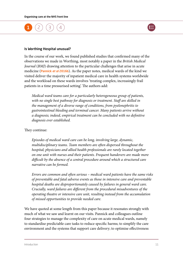

#### Is Worthing Hospital unusual?

In the course of our work, we found published studies that confirmed many of the observations we made in Worthing, most notably a paper in the *British Medical Journal* (*BMJ*) drawing attention to the particular challenges that arise in acute medicine ([Pannick](http:/www.bmj.com/content/355/bmj.i5417) *et al* 2016b). As the paper notes, medical wards of the kind we visited deliver the majority of inpatient medical care in health systems worldwide and the workload on these wards involves 'treating complex, increasingly frail patients in a time pressurised setting'. The authors add:

*Medical ward teams care for a particularly heterogeneous group of patients, with no single best pathway for diagnosis or treatment. Staff are skilled in the management of a diverse range of conditions, from pyelonephritis to gastrointestinal bleeding and terminal cancer. Many patients arrive without a diagnosis; indeed, empirical treatment can be concluded with no definitive diagnosis ever established.*

#### They continue:

*Episodes of medical ward care can be long, involving large, dynamic, multidisciplinary teams. Team members are often dispersed throughout the hospital; physicians and allied health professionals are rarely located together on one unit with nurses and their patients. Frequent handovers are made more difficult by the absence of a central procedure around which a structured care narrative can be formed.*

*Errors are common and often serious – medical ward patients have the same risks of preventable and fatal adverse events as those in intensive care and preventable hospital deaths are disproportionately caused by failures in general ward care. Crucially, ward failures are different from the procedural misadventures of the operating theatre or intensive care unit, resulting instead from the accumulation of missed opportunities to provide needed care.*

We have quoted at some length from this paper because it resonates strongly with much of what we saw and learnt on our visits. Pannick and colleagues outline four strategies to manage the complexity of care on acute medical wards, namely to standardise predictable care tasks to reduce specific harms; to simplify the care environment and the systems that support care delivery; to optimise effectiveness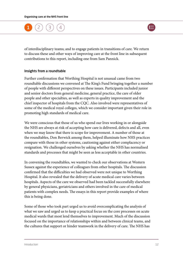

of interdisciplinary teams; and to engage patients in transitions of care. We return to discuss these and other ways of improving care at the front line in subsequent contributions to this report, including one from Sam Pannick.

#### Insights from a roundtable

Further confirmation that Worthing Hospital is not unusual came from two roundtable discussions we convened at The King's Fund bringing together a number of people with different perspectives on these issues. Participants included junior and senior doctors from general medicine, general practice, the care of older people and other specialties, as well as experts in quality improvement and the chief inspector of hospitals from the CQC. Also involved were representatives of some of the medical royal colleges, which we consider important given their role in promoting high standards of medical care.

We were conscious that those of us who spend our lives working in or alongside the NHS are always at risk of accepting how care is delivered, defects and all, even when we may know that there is scope for improvement. A number of those at the roundtables, Don Berwick among them, helped illuminate how NHS practices compare with those in other systems, cautioning against either complacency or resignation. We challenged ourselves by asking whether the NHS has normalised standards and processes that might be seen as less acceptable in other countries.

In convening the roundtables, we wanted to check our observations at Western Sussex against the experience of colleagues from other hospitals. The discussion confirmed that the difficulties we had observed were not unique to Worthing Hospital. It also revealed that the delivery of acute medical care varies between hospitals. Aspects of the care we observed had been tackled successfully elsewhere by general physicians, geriatricians and others involved in the care of medical patients with complex needs. The essays in this report provide examples of where this is being done.

Some of those who took part urged us to avoid overcomplicating the analysis of what we saw and urged us to keep a practical focus on the core processes on acute medical wards that most lend themselves to improvement. Much of the discussion focused on the importance of relationships within and between clinical teams, and the cultures that support or hinder teamwork in the delivery of care. The NHS has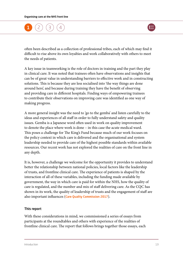

often been described as a collection of professional tribes, each of which may find it difficult to rise above its own loyalties and work collaboratively with others to meet the needs of patients.

A key issue in teamworking is the role of doctors in training and the part they play in clinical care. It was noted that trainees often have observations and insights that can be of great value in understanding barriers to effective work and in constructing solutions. This is because they are less socialised into 'the way things are done around here', and because during training they have the benefit of observing and providing care in different hospitals. Finding ways of empowering trainees to contribute their observations on improving care was identified as one way of making progress.

A more general insight was the need to 'go to the gemba' and listen carefully to the ideas and experiences of all staff in order to fully understand safety and quality issues. Gemba is a Japanese word often used in work on quality improvement to denote the place where work is done – in this case the acute medical ward. This poses a challenge for The King's Fund because much of our work focuses on the policy context in which care is delivered and the organisational and system leadership needed to provide care of the highest possible standards within available resources. Our recent work has not explored the realities of care on the front line in any depth.

It is, however, a challenge we welcome for the opportunity it provides to understand better the relationship between national policies, local factors like the leadership of trusts, and frontline clinical care. The experience of patients is shaped by the interaction of all of these variables, including the funding made available by government, the way in which care is paid for within the NHS, how the quality of care is regulated, and the number and mix of staff delivering care. As the CQC has shown in its work, the quality of leadership of trusts and the engagement of staff are also important influences ([Care Quality Commission 2017](www.cqc.org.uk/content/state-care-nhs-acute-hospitals)).

#### This report

With these considerations in mind, we commissioned a series of essays from participants at the roundtables and others with experience of the realities of frontline clinical care. The report that follows brings together those essays, each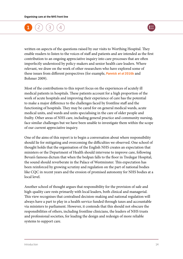

written on aspects of the questions raised by our visits to Worthing Hospital. They enable readers to listen to the voices of staff and patients and are intended as the first contribution to an ongoing appreciative inquiry into care processes that are often imperfectly understood by policy-makers and senior health care leaders. Where relevant, we draw on the work of other researchers who have explored some of these issues from different perspectives (for example, [Pannick](http://www.bmj.com/content/355/bmj.i5417) *et al* 2016b and Bohmer 2009).

Most of the contributions to this report focus on the experiences of acutely ill medical patients in hospitals. These patients account for a high proportion of the work of acute hospitals and improving their experience of care has the potential to make a major difference to the challenges faced by frontline staff and the functioning of hospitals. They may be cared for on general medical wards, acute medical units, and wards and units specialising in the care of older people and frailty. Other areas of NHS care, including general practice and community nursing, face similar challenges but we have been unable to investigate them within the scope of our current appreciative inquiry.

One of the aims of this report is to begin a conversation about where responsibility should lie for mitigating and overcoming the difficulties we observed. One school of thought holds that the organisation of the English NHS creates an expectation that ministers or the Department of Health should intervene to improve care, following Bevan's famous dictum that when the bedpan falls to the floor in Tredegar Hospital, the sound should reverberate in the Palace of Westminster. This expectation has been reinforced by growing scrutiny and regulation on the part of national bodies like CQC in recent years and the erosion of promised autonomy for NHS bodies at a local level.

Another school of thought argues that responsibility for the provision of safe and high-quality care rests primarily with local leaders, both clinical and managerial. This view recognises that centralised decision-making and national regulation will always have a part to play in a health service funded through taxes and accountable via ministers to parliament. However, it contends that this should not obscure the responsibilities of others, including frontline clinicians, the leaders of NHS trusts and professional societies, for leading the design and redesign of more reliable systems to support care.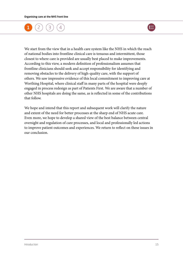

We start from the view that in a health care system like the NHS in which the reach of national bodies into frontline clinical care is tenuous and intermittent, those closest to where care is provided are usually best placed to make improvements. According to this view, a modern definition of professionalism assumes that frontline clinicians should seek and accept responsibility for identifying and removing obstacles to the delivery of high-quality care, with the support of others. We saw impressive evidence of this local commitment to improving care at Worthing Hospital, where clinical staff in many parts of the hospital were deeply engaged in process redesign as part of Patients First. We are aware that a number of other NHS hospitals are doing the same, as is reflected in some of the contributions that follow.

We hope and intend that this report and subsequent work will clarify the nature and extent of the need for better processes at the sharp end of NHS acute care. Even more, we hope to develop a shared view of the best balance between central oversight and regulation of care processes, and local and professionally led actions to improve patient outcomes and experiences. We return to reflect on these issues in our conclusion.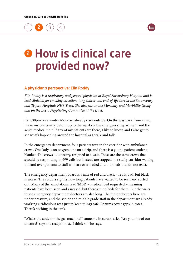

## <span id="page-16-0"></span>**2 How is clinical care** provided now?

#### A physician's perspective: Elin Roddy

*Elin Roddy is a respiratory and general physician at Royal Shrewsbury Hospital and is lead clinician for smoking cessation, lung cancer and end-of-life care at the Shrewsbury and Telford Hospitals NHS Trust. She also sits on the Mortality and Morbidity Group and on the Local Negotiating Committee at the trust.* 

It's 5.30pm on a winter Monday, already dark outside. On the way back from clinic, I take my customary detour up to the ward via the emergency department and the acute medical unit. If any of my patients are there, I like to know, and I also get to see what's happening around the hospital as I walk and talk.

In the emergency department, four patients wait in the corridor with ambulance crews. One lady is on oxygen, one on a drip, and there is a young patient under a blanket. The crews look weary, resigned to a wait. These are the same crews that should be responding to 999 calls but instead are trapped in a stuffy corridor waiting to hand over patients to staff who are overloaded and into beds that do not exist.

The emergency department board is a mix of red and black – red is bad, but black is worse. The colours signify how long patients have waited to be seen and sorted out. Many of the annotations read 'MBR' – medical bed requested – meaning patients have been seen and assessed, but there are no beds for them. But the waits to see emergency department doctors are also long. The junior doctors here are under pressure, and the senior and middle grade staff in the department are already working a ridiculous rota just to keep things safe. Locums cover gaps in rotas. There's nothing in the tank.

'What's the code for the gas machine?' someone in scrubs asks. 'Are you one of our doctors?' says the receptionist. 'I think so!' he says.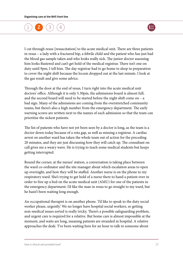

I cut through resus [resuscitation] to the acute medical unit. There are three patients in resus – a lady with a fractured hip, a febrile child and the patient who has just had the blood gas sample taken and who looks really sick. The junior doctor assessing him looks flustered and can't get hold of the medical registrar. There isn't one on duty until 9pm, I tell him. The day registrar had to go home to sleep in preparation to cover the night shift because the locum dropped out at the last minute. I look at the gas result and give some advice.

Through the door at the end of resus, I turn right into the acute medical unit doctors' office. Although it is only 5.30pm, the admissions board is almost full, and the second board will need to be started before the night shift come on – a bad sign. Many of the admissions are coming from the overstretched community teams, but there's also a high number from the emergency department. The early warning scores are written next to the names of each admission so that the team can prioritise the sickest patients.

The list of patients who have not yet been seen by a doctor is long, as the team is a doctor down today because of a rota gap, as well as missing a registrar. A cardiac arrest on another ward has taken the whole team out of action for the preceding 20 minutes, and they are just discussing how they will catch up. The consultant on call gives me a weary wave. He is trying to teach some medical students but keeps getting interrupted.

Round the corner, at the nurses' station, a conversation is taking place between the ward co-ordinator and the site manager about which escalation areas to open up overnight, and how they will be staffed. Another nurse is on the phone to my respiratory ward. She's trying to get hold of a nurse there to hand a patient over in order to free up a bed on the acute medical unit (AMU) for one of the patients in the emergency department. I'd like the man in resus to go straight to my ward, but he hasn't been waiting long enough.

An occupational therapist is on another phone. 'I'd like to speak to the duty social worker please, urgently.' We no longer have hospital social workers, so getting non-medical issues sorted is really tricky. There's a possible safeguarding problem, and urgent care is required for a relative. But home care is almost impossible at the moment, and waits are long, meaning patients are stranded in hospital. A relative approaches the desk: 'I've been waiting here for an hour to talk to someone about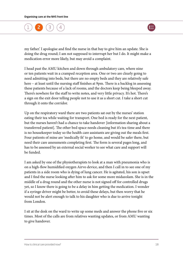

my father.' I apologise and find the nurse in that bay to give him an update. She is doing the drug round; I am not supposed to interrupt her but I do. It might make a medication error more likely, but may avoid a complaint.

I head past the AMU kitchen and down through ambulatory care, where nine or ten patients wait in a cramped reception area. One or two are clearly going to need admitting into beds, but there are no empty beds and they are relatively safe here – at least until the nursing staff finishes at 9pm. There is a backlog in assessing these patients because of a lack of rooms, and the doctors keep being bleeped away. There's nowhere for the staff to write notes, and very little privacy. It's hot. There's a sign on the exit door telling people not to use it as a short cut. I take a short cut through it onto the corridor.

Up on the respiratory ward there are two patients sat out by the nurses' station eating their tea while waiting for transport. One bed is ready for the next patient, but the nurses haven't had a chance to take handover [information sharing about a transferred patient]. The other bed space needs cleaning but it's tea-time and there is no housekeeper today so the health care assistants are giving out the meals first. Four patients of mine are 'medically fit' to go home, and would be safer there, but need their care assessments completing first. The form is several pages long, and has to be assessed by an external social worker to see what care and support will be funded.

I am asked by one of the physiotherapists to look at a man with pneumonia who is on a high-flow humidified oxygen Airvo device, and then I call in to see one of my patients in a side room who is dying of lung cancer. He is agitated, his son is upset and I find the nurse looking after him to ask for some more midazolam. She is in the middle of a drug round and the other nurse is not signed off for controlled drugs yet, so I know there is going to be a delay in him getting the medication. I wonder if a syringe driver might be better, to avoid these delays, but then worry that he would not be alert enough to talk to his daughter who is due to arrive tonight from London.

I sit at the desk on the ward to write up some meds and answer the phone five or six times. Most of the calls are from relatives wanting updates, or from AMU wanting to give handover.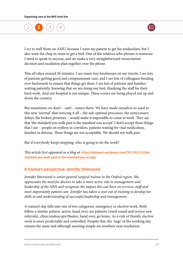

<span id="page-19-0"></span>I try to stall them on AMU, because I want my patient to get his midazolam, but I also want the chap in resus to get a bed. One of the relatives who phones is someone I need to speak to anyway, and we make a very straightforward resuscitation decision and escalation plan together over the phone.

This all takes around 30 minutes. I see many tiny kindnesses on my travels. I see lots of patients getting good and compassionate care, and I see lots of colleagues bending over backwards to ensure that things get done. I see lots of patients and families waiting patiently, knowing that we are doing our best, thanking the staff for their hard work. And our hospital is not unique. These scenes are being played out up and down the country.

But sometimes we don't – can't – notice them. We have made ourselves so used to this new 'normal' that noticing it all – the sub-optimal processes, the unnecessary delays, the broken promises – would make it impossible to come to work. They say that 'the standard you walk past is the standard you accept'. I don't accept these things that I see – people on trolleys in corridors, patients waiting for vital medication, families in distress. These things are not acceptable. We should not walk past.

But if everybody keeps stopping, who is going to do the work?

*This article first appeared as a blog at:* [https://elinlowri.wordpress.com/2017/02/13/the](https://elinlowri.wordpress.com/2017/02/13/the-standard-you-walk-past-is-the-standard-you-accept/)[standard-you-walk-past-is-the-standard-you-accept/](https://elinlowri.wordpress.com/2017/02/13/the-standard-you-walk-past-is-the-standard-you-accept/)

### A trainee's perspective: Jennifer Isherwood

*Jennifer Isherwood is senior general surgical trainee in the Oxford region. She appreciates the need for doctors to take a more active role in management and leadership of the NHS and recognises the impact this can have on services, staff and most importantly patient care. Jennifer has taken a year out of training to develop her skills in and understanding of successful leadership and management.*

A trainee's day falls into one of two categories: emergency or elective work. Both follow a similar pattern: arrive, hand over, see patients (ward round and review new referrals), clinic/endoscopy/theatre, hand over, go home. As a rule of thumb, elective work is more predictable and controlled. Despite this, the 'nags' of the working day remain the same and although seeming simple are nowhere near resolution.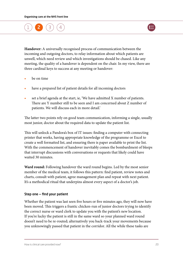

**Handover:** A universally recognised process of communication between the incoming and outgoing doctors, to relay information about which patients are unwell, which need review and which investigations should be chased. Like any meeting, the quality of a handover is dependent on the chair. In my view, there are three cardinal keys to success at any meeting or handover:

- **•** be on time
- **•** have a prepared list of patient details for all incoming doctors
- **•** set a brief agenda at the start, ie, 'We have admitted X number of patients. There are Y number still to be seen and I am concerned about Z number of patients. We will discuss each in more detail.'

The latter two points rely on good team communication, informing a single, usually most junior, doctor about the required data to update the patient list.

This will unlock a Pandora's box of IT issues: finding a computer with connecting printer that works, having appropriate knowledge of the programme or Excel to create a well formatted list, and ensuring there is paper available to print the list. With the commencement of handover inevitably comes the bombardment of bleeps that interrupt discussions with conversations or requests that likely could have waited 30 minutes.

**Ward round:** Following handover the ward round begins. Led by the most senior member of the medical team, it follows this pattern: find patient, review notes and charts, consult with patient, agree management plan and repeat with next patient. It's a methodical ritual that underpins almost every aspect of a doctor's job.

#### Step one  $-$  find your patient

Whether the patient was last seen five hours or five minutes ago, they will now have been moved. This triggers a frantic chicken-run of junior doctors trying to identify the correct nurse or ward clerk to update you with the patient's new location. If you're lucky the patient is still in the same ward so your planned ward round doesn't need to be re-routed; alternatively you back-track your movements because you unknowingly passed that patient in the corridor. All the while these tasks are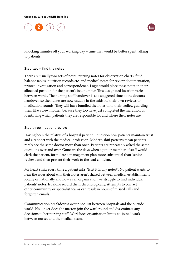

knocking minutes off your working day – time that would be better spent talking to patients.

#### Step two  $-$  find the notes

There are usually two sets of notes: nursing notes for observation charts, fluid balance tables, nutrition records etc. and medical notes for review documentation, printed investigation and correspondence. Logic would place these notes in their allocated position for the patient's bed number. This designated location varies between wards. The nursing staff handover is at a staggered time to the doctors' handover, so the nurses are now usually in the midst of their own reviews or medication rounds. They will have bundled the notes onto their trolley, guarding them like a new mother, because they too have just completed the marathon of identifying which patients they are responsible for and where their notes are.

#### Step three  $-$  patient review

Having been the relative of a hospital patient, I question how patients maintain trust and a rapport with the medical profession. Modern shift patterns mean patients rarely see the same doctor more than once. Patients are repeatedly asked the same questions over and over. Gone are the days when a junior member of staff would clerk the patient, formulate a management plan more substantial than 'senior review', and then present their work to the lead clinician.

My heart sinks every time a patient asks, 'Isn't it in my notes?'. No patient wants to hear the woes about why their notes aren't shared between medical establishments locally or nationally and how as an organisation we struggle to find individual patients' notes, let alone record them chronologically. Attempts to contact other community or specialist teams can result in hours of missed calls and forgotten emails.

Communication breakdowns occur not just between hospitals and the outside world. No longer does the matron join the ward round and disseminate any decisions to her nursing staff. Workforce organisation limits co-joined work between nurses and the medical team.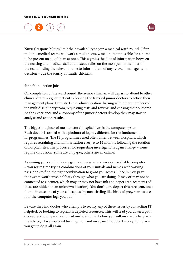

Nurses' responsibilities limit their availability to join a medical ward round. Often multiple medical teams will work simultaneously, making it impossible for a nurse to be present on all of them at once. This stymies the flow of information between the nursing and medical staff and instead relies on the most junior member of the team finding the relevant nurse to inform them of any relevant management decision – cue the scurry of frantic chickens.

#### Step four  $-$  action jobs

On completion of the ward round, the senior clinician will depart to attend to other clinical duties – eg, outpatients – leaving the frazzled junior doctors to action their management plans. Here starts the administration: liaising with other members of the multidisciplinary team, requesting tests and reviews and chasing their outcome. As the experience and autonomy of the junior doctors develop they may start to analyse and action results.

The biggest bugbear of most doctors' hospital lives is the computer system. Each doctor is armed with a plethora of logins, different for the fundamental IT programmes. The IT programmes used often differ between hospitals, which requires retraining and familiarisation every 6 to 12 months following the rotation of hospital sites. The processes for requesting investigations again change – some require discussion, some are on paper, others are all online.

Assuming you can find a rare gem – otherwise known as an available computer – you waste time trying combinations of your initials and names with varying passcodes to find the right combination to grant you access. Once in, you pray the system won't crash half way through what you are doing. It may or may not be connected to a printer, which may or may not have ink and paper (replacements of these are hidden in an unknown location). You don't dare depart this rare gem, once found, in case one of your colleagues, by now circling like birds of prey, start to use it or the computer logs you out.

Beware the kind doctor who attempts to rectify any of these issues by contacting IT helpdesk or looking to replenish depleted resources. This will lead you down a path of dead ends, long waits and bad on-hold music before you will invariably be given the advice, 'Have you tried turning it off and on again?' But don't worry; tomorrow you get to do it all again.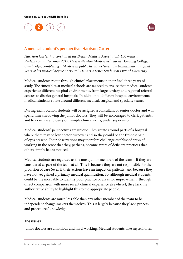

#### <span id="page-23-0"></span>A medical student's perspective: Harrison Carter

*Harrison Carter has co-chaired the British Medical Association's UK medical student committee since 2013. He is a Newton Masters Scholar at Downing College, Cambridge, completing a Masters in public health between the penultimate and final years of his medical degree at Bristol. He was a Lister Student at Oxford University.*

Medical students rotate through clinical placements in their final three years of study. The timetables at medical schools are tailored to ensure that medical students experience different hospital environments, from large tertiary and regional referral centres to district general hospitals. In addition to different hospital environments, medical students rotate around different medical, surgical and specialty teams.

During each rotation students will be assigned a consultant or senior doctor and will spend time shadowing the junior doctors. They will be encouraged to clerk patients, and to examine and carry out simple clinical skills, under supervision.

Medical students' perspectives are unique. They rotate around parts of a hospital where there may be low doctor turnover and so they could be the freshest pair of eyes present. Their observations may therefore challenge established ways of working in the sense that they, perhaps, become aware of deficient practices that others simply hadn't noticed.

Medical students are regarded as the most junior members of the team – if they are considered as part of the team at all. This is because they are not responsible for the provision of care (even if their actions have an impact on patients) and because they have not yet gained a primary medical qualification. So, although medical students could be the most able to identify poor practice or areas for improvement (through direct comparison with more recent clinical experience elsewhere), they lack the authoritative ability to highlight this to the appropriate people.

Medical students are much less able than any other member of the team to be independent change-makers themselves. This is largely because they lack 'process and procedures' knowledge.

#### The issues

Junior doctors are ambitious and hard-working. Medical students, like myself, often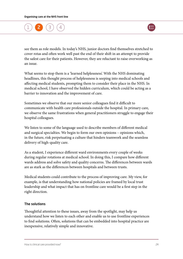

see them as role models. In today's NHS, junior doctors find themselves stretched to cover rotas and often work well past the end of their shift in an attempt to provide the safest care for their patients. However, they are reluctant to raise overworking as an issue.

What seems to stop them is a 'learned helplessness'. With the NHS dominating headlines, this thought process of helplessness is seeping into medical schools and affecting medical students, prompting them to consider their place in the NHS. In medical school, I have observed the hidden curriculum, which could be acting as a barrier to innovation and the improvement of care.

Sometimes we observe that our more senior colleagues find it difficult to communicate with health care professionals outside the hospital. In primary care, we observe the same frustrations when general practitioners struggle to engage their hospital colleagues.

We listen to some of the language used to describe members of different medical and surgical specialties. We begin to form our own opinions – opinions which, in the future, risk perpetuating a culture that hinders teamwork and the seamless delivery of high-quality care.

As a student, I experience different ward environments every couple of weeks during regular rotations at medical school. In doing this, I compare how different wards address and solve safety and quality concerns. The differences between wards are as stark as the differences between hospitals and between trusts.

Medical students could contribute to the process of improving care. My view, for example, is that understanding how national policies are framed by local trust leadership and what impact that has on frontline care would be a first step in the right direction.

#### The solutions

Thoughtful attention to these issues, away from the spotlight, may help us understand how we listen to each other and enable us to use frontline experiences to find solutions. Often, solutions that can be embedded into hospital practice are inexpensive, relatively simple and innovative.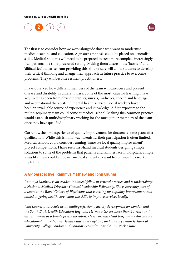

<span id="page-25-0"></span>The first is to consider how we work alongside those who want to modernise medical teaching and education. A greater emphasis could be placed on generalist skills. Medical students will need to be prepared to treat more complex, increasingly frail patients in a time-pressured setting. Making them aware of the 'barriers' and 'difficulties' that arise from providing this kind of care will allow students to develop their critical thinking and change their approach in future practice to overcome problems. They will become resilient practitioners.

I have observed how different members of the team will care, cure and prevent disease and disability in different ways. Some of the most valuable learning I have acquired has been from physiotherapists, nurses, midwives, speech and language and occupational therapists. In mental health services, social workers have been an invaluable source of experience and knowledge. A first exposure to the multidisciplinary team could come at medical school. Making this common practice would establish multidisciplinary working for the most junior members of the team once they have qualified.

Currently, the first experience of quality improvement for doctors is some years after qualification. While this is in no way tokenistic, their participation is often limited. Medical schools could consider running 'innovate local quality improvement' project competitions. I have seen first-hand medical students designing simple solutions to some of the problems that patients and families face in hospitals. Simple ideas like these could empower medical students to want to continue this work in the future.

### A GP perspective: Rammya Mathew and John Launer

*Rammya Mathew is an academic clinical fellow in general practice and is undertaking a National Medical Director's Clinical Leadership Fellowship. She is currently part of a team at the Royal College of Physicians that is setting up a quality improvement hub aimed at giving health care teams the skills to improve services locally.* 

*John Launer is associate dean, multi-professional faculty development for London and the South East, Health Education England. He was a GP for more than 20 years and also is trained as a family psychotherapist. He is currently lead programme director for educational innovation at Health Education England, an honorary senior lecturer at University College London and honorary consultant at the Tavistock Clinic.*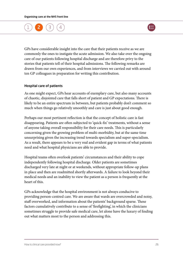

GPs have considerable insight into the care that their patients receive as we are commonly the ones to instigate the acute admission. We also take over the ongoing care of our patients following hospital discharge and are therefore privy to the stories that patients tell of their hospital admissions. The following remarks are drawn from our own experiences, and from interviews we carried out with around ten GP colleagues in preparation for writing this contribution.

#### Hospital care of patients

As one might expect, GPs hear accounts of exemplary care, but also many accounts of chaotic, disjointed care that falls short of patient and GP expectations. There is likely to be an entire spectrum in between, but patients probably don't comment so much when things go relatively smoothly and care is just about good enough.

Perhaps our most pertinent reflection is that the concept of holistic care is fast disappearing. Patients are often subjected to 'quick-fix' treatments, without a sense of anyone taking overall responsibility for their care needs. This is particularly concerning given the growing problem of multi-morbidity, but at the same time unsurprising given the increasing trend towards specialism and super-specialism. As a result, there appears to be a very real and evident gap in terms of what patients need and what hospital physicians are able to provide.

Hospital teams often overlook patients' circumstances and their ability to cope independently following hospital discharge. Older patients are sometimes discharged very late at night or at weekends, without appropriate follow-up plans in place and then are readmitted shortly afterwards. A failure to look beyond their medical needs and an inability to view the patient as a person is frequently at the heart of this.

GPs acknowledge that the hospital environment is not always conducive to providing person-centred care. We are aware that wards are overcrowded and noisy, staff overworked, and information about the patients' background sparse. These factors cumulatively contribute to a sense of 'firefighting', in which the clinicians sometimes struggle to provide safe medical care, let alone have the luxury of finding out what matters most to the person and addressing this.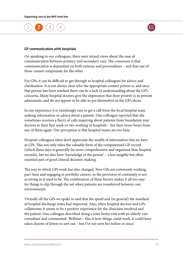



#### GP communication with hospitals

On speaking to our colleagues, there were mixed views about the ease of communication between primary and secondary care. The consensus is that communication is dependent on both systems and personalities – and that one of these cannot compensate for the other.

For GPs, it can be difficult to get through to hospital colleagues for advice and clarification. It is not always clear who the appropriate contact person is, and once that person has been reached there can be a lack of understanding about the GP's concerns. Many hospital doctors give the impression that their priority is to prevent admissions, and do not appear to be able to put themselves in the GP's shoes.

In our experience it is vanishingly rare to get a call from the local hospital team seeking information or advice about a patient. One colleague reported that she sometimes receives a flurry of calls inquiring about patients from foundation year doctors in their first week or two working in hospitals – but then never hears from any of them again. Our perception is that hospital teams are too busy.

Hospital colleagues often don't appreciate the wealth of information that we have as GPs. This not only takes the valuable form of the computerised GP record (which these days is generally far more comprehensive and organised than hospital records), but we also have 'knowledge of the person' – a less tangible but often essential part of good clinical decision-making.

The way in which GPs work has also changed. New GPs are commonly working part-time and engaging in portfolio careers, so the provision of continuity is not as strong as it used to be. The combination of these factors makes it all too easy for things to slip through the net when patients are transferred between care environments.

Virtually all the GPs we spoke to said that the speed and (in general) the standard of hospital discharge notes had improved. Also, when hospital doctors and GPs collaborate, it seems to be a positive experience for the clinicians involved and the patient. One colleague described doing a joint home visit with an elderly care consultant and commented: 'Brilliant – this is how things could work, it could have taken dozens of letters to sort out – but I've not seen her before or since.'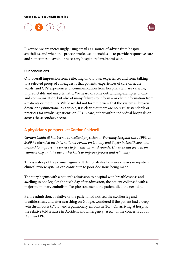

<span id="page-28-0"></span>Likewise, we are increasingly using email as a source of advice from hospital specialists, and when this process works well it enables us to provide responsive care and sometimes to avoid unnecessary hospital referral/admission.

#### Our conclusions

Our overall impression from reflecting on our own experiences and from talking to a selected group of colleagues is that patients' experiences of care on acute wards, and GPs' experiences of communication from hospital staff, are variable, unpredictable and unsystematic. We heard of some outstanding examples of care and communication, but also of many failures to inform – or elicit information from – patients or their GPs. While we did not form the view that the system is 'broken down' or dysfunctional as a whole, it is clear that there are no regular standards or practices for involving patients or GPs in care, either within individual hospitals or across the secondary sector.

#### A physician's perspective: Gordon Caldwell

*Gordon Caldwell has been a consultant physician at Worthing Hospital since 1993. In 2009 he attended the International Forum on Quality and Safety in Healthcare, and decided to improve the service to patients on ward rounds. His work has focused on teamworking and the use of checklists to improve process and reliability.*

This is a story of tragic misdiagnosis. It demonstrates how weaknesses in inpatient clinical review systems can contribute to poor decisions being made.

The story begins with a patient's admission to hospital with breathlessness and swelling in one leg. On the sixth day after admission, the patient collapsed with a major pulmonary embolism. Despite treatment, the patient died the next day.

Before admission, a relative of the patient had noticed the swollen leg and breathlessness, and after searching on Google, wondered if the patient had a deep vein thrombosis (DVT) and a pulmonary embolism (PE). On arriving at hospital, the relative told a nurse in Accident and Emergency (A&E) of the concerns about DVT and PE.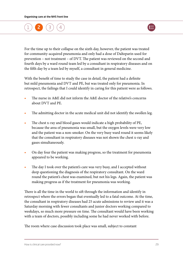

For the time up to their collapse on the sixth day, however, the patient was treated for community-acquired pneumonia and only had a dose of Dalteparin used for prevention – not treatment – of DVT. The patient was reviewed on the second and fourth days by a ward round team led by a consultant in respiratory diseases and on the fifth day by a team led by myself, a consultant in general medicine.

With the benefit of time to study the case in detail, the patient had a definite but mild pneumonia and DVT and PE, but was treated only for pneumonia. In retrospect, the failings that I could identify in caring for this patient were as follows.

- **•** The nurse in A&E did not inform the A&E doctor of the relative's concerns about DVT and PE.
- The admitting doctor in the acute medical unit did not identify the swollen leg.
- **•** The chest x-ray and blood gases would indicate a high probability of PE, because the area of pneumonia was small, but the oxygen levels were very low and the patient was a non-smoker. On the very busy ward round it seems likely that the consultant in respiratory diseases was not shown the chest x-ray and gases simultaneously.
- **•** On day four the patient was making progress, so the treatment for pneumonia appeared to be working.
- The day I took over the patient's care was very busy, and I accepted without deep questioning the diagnosis of the respiratory consultant. On the ward round the patient's chest was examined, but not his legs. Again, the patient was making progress as if the treatment for pneumonia was working.

There is all the time in the world to sift through the information and identify in retrospect where the errors began that eventually led to a fatal outcome. At the time, the consultant in respiratory diseases had 25 acute admissions to review and it was a Saturday morning with fewer consultants and junior doctors working compared to weekdays, so much more pressure on time. The consultant would have been working with a team of doctors, possibly including some he had never worked with before.

The room where case discussion took place was small, subject to constant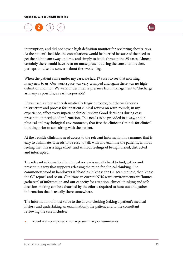

interruption, and did not have a high definition monitor for reviewing chest x-rays. At the patient's bedside, the consultations would be hurried because of the need to get the night team away on time, and simply to battle through the 25 cases. Almost certainly there would have been no nurse present during the consultant review, perhaps to raise the concern about the swollen leg.

When the patient came under my care, we had 27 cases to see that morning, many new to us. Our work space was very cramped and again there was no highdefinition monitor. We were under intense pressure from management to 'discharge as many as possible, as early as possible'.

I have used a story with a dramatically tragic outcome, but the weaknesses in structure and process for inpatient clinical review on ward rounds, in my experience, affect every inpatient clinical review. Good decisions during case presentation need good information. This needs to be provided in a way, and in physical and psychological environments, that free the clinicians' minds for clinical thinking prior to consulting with the patient.

At the bedside clinicians need access to the relevant information in a manner that is easy to assimilate. It needs to be easy to talk with and examine the patients, without feeling that this is a huge effort, and without feelings of being hurried, distracted and interrupted.

The relevant information for clinical review is usually hard to find, gather and present in a way that supports releasing the mind for clinical thinking. The commonest word in handovers is 'chase' as in 'chase the CT scan request', then 'chase the CT report' and so on. Clinicians in current NHS ward environments are 'huntergatherers' of information and our capacity for attention, clinical thinking and safe decision-making can be exhausted by the efforts required to hunt out and gather information that is usually there somewhere.

The information of most value to the doctor clerking (taking a patient's medical history and undertaking an examination), the patient and to the consultant reviewing the case includes:

**•** recent well-composed discharge summary or summaries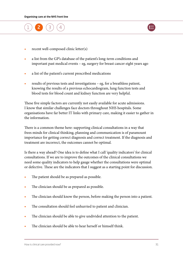



- **•** recent well-composed clinic letter(s)
- **•** a list from the GP's database of the patient's long-term conditions and important past medical events – eg, surgery for breast cancer eight years ago
- **•** a list of the patient's current prescribed medications
- **•** results of previous tests and investigations eg, for a breathless patient, knowing the results of a previous echocardiogram, lung function tests and blood tests for blood count and kidney function are very helpful.

These five simple factors are currently not easily available for acute admissions. I know that similar challenges face doctors throughout NHS hospitals. Some organisations have far better IT links with primary care, making it easier to gather in the information.

There is a common theme here: supporting clinical consultations in a way that frees minds for clinical thinking, planning and communication is of paramount importance for getting correct diagnosis and correct treatment. If the diagnosis and treatment are incorrect, the outcomes cannot be optimal.

Is there a way ahead? One idea is to define what I call 'quality indicators' for clinical consultations. If we are to improve the outcomes of the clinical consultations we need some quality indicators to help gauge whether the consultations were optimal or defective. These are the indicators that I suggest as a starting point for discussion.

- The patient should be as prepared as possible.
- The clinician should be as prepared as possible.
- **•** The clinician should know the person, before making the person into a patient.
- **•** The consultation should feel unhurried to patient and clinician.
- **•** The clinician should be able to give undivided attention to the patient.
- **•** The clinician should be able to hear herself or himself think.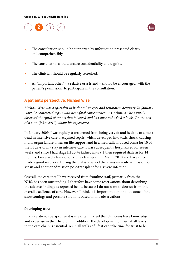<span id="page-32-0"></span>



- **•** The consultation should be supported by information presented clearly and comprehensibly.
- The consultation should ensure confidentiality and dignity.
- **•** The clinician should be regularly refreshed.
- **•** An 'important other' a relative or a friend should be encouraged, with the patient's permission, to participate in the consultation.

#### A patient's perspective: Michael Wise

*Michael Wise was a specialist in both oral surgery and restorative dentistry. In January 2009, he contracted sepsis with near-fatal consequences. As a clinician he astutely observed the spiral of events that followed and has since published a book,* On the toss of a coin (*Wise 2017*)*, about his experience.*

In January 2009, I was rapidly transformed from being very fit and healthy to almost dead in intensive care. I acquired sepsis, which developed into toxic shock, causing multi-organ failure. I was on life support and in a medically induced coma for 10 of the 14 days of my stay in intensive care. I was subsequently hospitalised for seven weeks and since I had stage III acute kidney injury, I then required dialysis for 14 months. I received a live donor kidney transplant in March 2010 and have since made a good recovery. During the dialysis period there was an acute admission for sepsis and another admission post-transplant for a severe infection.

Overall, the care that I have received from frontline staff, primarily from the NHS, has been outstanding. I therefore have some reservations about describing the adverse findings as reported below because I do not want to detract from this overall excellence of care. However, I think it is important to point out some of the shortcomings and possible solutions based on my observations.

#### Developing trust

From a patient's perspective it is important to feel that clinicians have knowledge and expertise in their field but, in addition, the development of trust at all levels in the care chain is essential. As in all walks of life it can take time for trust to be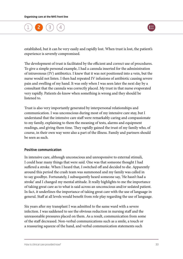

established, but it can be very easily and rapidly lost. When trust is lost, the patient's experience is severely compromised.

The development of trust is facilitated by the efficient and correct use of procedures. To give a simple personal example, I had a cannula inserted for the administration of intravenous (IV) antibiotics. I knew that it was not positioned into a vein, but the nurse would not listen. I then had repeated IV infusions of antibiotic causing severe pain and swelling of my hand. It was only when I was seen later the next day by a consultant that the cannula was correctly placed. My trust in that nurse evaporated very rapidly. Patients do know when something is wrong and they should be listened to.

Trust is also very importantly generated by interpersonal relationships and communication. I was unconscious during most of my intensive care stay, but I understand that the intensive care staff were remarkably caring and compassionate to my family, explaining to them the meaning of tests, alarms and equipment readings, and giving them time. They rapidly gained the trust of my family who, of course, in their own way were also a part of the illness. Family and partners should be seen as such.

#### Positive communication

In intensive care, although unconscious and unresponsive to external stimuli, I could hear many things that were said. One was that someone thought I had suffered a stroke. When I heard that, I switched off and decided to die. Apparently around this period the crash team was summoned and my family was called in to say goodbye. Fortunately, I subsequently heard someone say, 'He hasn't had a stroke' and I changed my mental attitude. It really highlights to me the importance of taking great care as to what is said across an unconscious and/or sedated patient. In fact, it underlines the importance of taking great care with the use of language in general. Staff at all levels would benefit from role play regarding the use of language.

Six years after my transplant I was admitted to the same ward with a severe infection. I was saddened to see the obvious reduction in nursing staff and the unreasonable pressures placed on them. As a result, communication from some of the staff decreased. Non-verbal communications such as a smile, a touch or a reassuring squeeze of the hand, and verbal communication statements such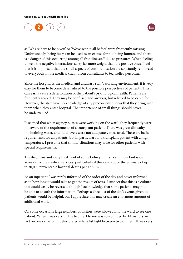

as 'We are here to help you' or 'We've seen it all before' were frequently missing. Unfortunately, being busy can be used as an excuse for not being human, and there is a danger of this occurring among all frontline staff due to pressures. When feeling unwell, the negative interactions carry far more weight than the positive ones. I feel that it is important that the small aspects of communication are constantly reinforced to everybody in the medical chain, from consultants to tea trolley personnel.

Since the hospital is the medical and ancillary staff 's working environment, it is very easy for them to become desensitised to the possible perspectives of patients. This can easily cause a deterioration of the patient's psychological health. Patients are frequently scared. They may be confused and anxious, but relieved to be cared for. However, the staff have no knowledge of any preconceived ideas that they bring with them when they enter hospital. The importance of small things should never be undervalued.

It seemed that when agency nurses were working on the ward, they frequently were not aware of the requirements of a transplant patient. There was great difficulty in obtaining water, and fluid levels were not adequately measured. These are basic requirements for all patients, but in particular for a transplant patient with a high temperature. I presume that similar situations may arise for other patients with special requirements.

The diagnosis and early treatment of acute kidney injury is an important issue across all acute medical services, particularly if this can reduce the estimate of up to 30,000 preventable hospital deaths per annum.

As an inpatient I was rarely informed of the order of the day and never informed as to how long it would take to get the results of tests. I suspect that this is a culture that could easily be reversed, though I acknowledge that some patients may not be able to absorb the information. Perhaps a checklist of the day's events given to patients would be helpful, but I appreciate this may create an enormous amount of additional work.

On some occasions large numbers of visitors were allowed into the ward to see one patient. When I was very ill, the bed next to me was surrounded by 14 visitors; in fact on one occasion it deteriorated into a fist fight between two of them. It was very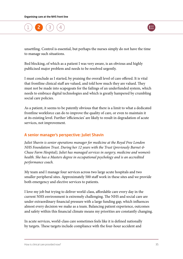

<span id="page-35-0"></span>unsettling. Control is essential, but perhaps the nurses simply do not have the time to manage such situations.

Bed blocking, of which as a patient I was very aware, is an obvious and highly publicised major problem and needs to be resolved urgently.

I must conclude as I started, by praising the overall level of care offered. It is vital that frontline clinical staff are valued, and told how much they are valued. They must not be made into scapegoats for the failings of an underfunded system, which needs to embrace digital technologies and which is greatly hampered by crumbling social care policies.

As a patient, it seems to be patently obvious that there is a limit to what a dedicated frontline workforce can do to improve the quality of care, or even to maintain it at its existing level. Further 'efficiencies' are likely to result in degradation of acute services, not improvement.

### A senior manager's perspective: Juliet Shavin

*Juliet Shavin is senior operations manager for medicine at the Royal Free London NHS Foundation Trust. During her 12 years with the Trust (previously Barnet & Chase Farm Hospital), Juliet has managed services in surgery, medicine and women's health. She has a Masters degree in occupational psychology and is an accredited performance coach.*

My team and I manage four services across two large acute hospitals and two smaller peripheral sites. Approximately 500 staff work in these sites and we provide both emergency and elective services to patients.

I love my job but trying to deliver world-class, affordable care every day in the current NHS environment is extremely challenging. The NHS and social care are under extraordinary financial pressure with a large funding gap, which influences almost every decision we make as a team. Balancing patient experience, outcomes and safety within this financial climate means my priorities are constantly changing.

In acute services, world-class care sometimes feels like it is defined nationally by targets. These targets include compliance with the four-hour accident and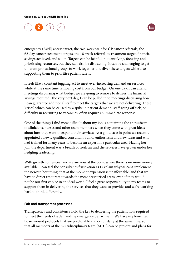

emergency (A&E) access target, the two-week wait for GP cancer referrals, the 62-day cancer treatment targets, the 18-week referral-to-treatment target, financial savings achieved, and so on. Targets can be helpful in quantifying, focusing and prioritising resources, but they can also be distracting. It can be challenging to get different professional groups to work together to deliver these targets while also supporting them to prioritise patient safety.

It feels like a constant juggling act to meet ever-increasing demand on services while at the same time removing cost from our budget. On one day, I can attend meetings discussing what budget we are going to remove to deliver the financial savings required. The very next day, I can be pulled in to meetings discussing how I can guarantee additional staff to meet the targets that we are not delivering. These 'crises', which can be caused by a spike in patient demand, staff going off sick, or difficulty in recruiting to vacancies, often require an immediate response.

One of the things I find most difficult about my job is containing the enthusiasm of clinicians, nurses and other team members when they come with great ideas about how they want to expand their services. As a good case in point we recently appointed a newly qualified consultant, full of enthusiasm and new ideas and who had trained for many years to become an expert in a particular area. Having her join the department was a breath of fresh air and the services have grown under her fledgling leadership.

With growth comes cost and we are now at the point where there is no more money available. I can feel the consultant's frustration as I explain why we can't implement the newest, best thing, that at the moment expansion is unaffordable, and that we have to direct resources towards the most pressurised areas, even if they would not be our first choice in an ideal world. I feel a great responsibility to my teams to support them in delivering the services that they want to provide, and we're working hard to think differently.

### Fair and transparent processes

Transparency and consistency hold the key to delivering the patient flow required to meet the needs of a demanding emergency department. We have implemented board-round protocols that are predictable and occur daily at the same time, so that all members of the multidisciplinary team (MDT) can be present and plans for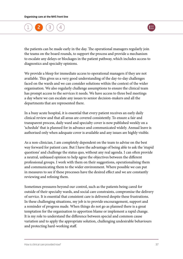

the patients can be made early in the day. The operational managers regularly join the teams on the board rounds, to support the process and provide a mechanism to escalate any delays or blockages in the patient pathway, which includes access to diagnostics and specialty opinions.

We provide a bleep for immediate access to operational managers if they are not available. This gives us a very good understanding of the day-to-day challenges faced on the wards and we can consider solutions within the context of the wider organisation. We also regularly challenge assumptions to ensure the clinical team has prompt access to the services it needs. We have access to three bed meetings a day where we can escalate any issues to senior decision-makers and all the departments that are represented there.

In a busy acute hospital, it is essential that every patient receives an early daily clinical review and that all areas are covered consistently. To ensure a fair and transparent process, daily ward and specialty cover is now published weekly on a 'schedule' that is planned for in advance and communicated widely. Annual leave is authorised only when adequate cover is available and any issues are highly visible.

As a non-clinician, I am completely dependent on the team to advise on the best way forward for patient care. But I have the advantage of being able to ask the 'stupid questions' and challenge the status quo, without any real agenda. I can often provide a neutral, unbiased opinion to help agree the objectives between the different professional groups. I work with them on their suggestions, operationalising them and communicating them to the wider environment. Where possible we can put in measures to see if these processes have the desired effect and we are constantly reviewing and refining them.

Sometimes pressures beyond our control, such as the patients being cared for outside of their specialty wards, and social care constraints, compromise the delivery of service. It is essential that consistent care is delivered despite these frustrations. In these challenging situations, my job is to provide encouragement, support and a reminder of progress made. When things do not go as planned there is a great temptation for the organisation to apportion blame or implement a rapid change. It is my role to understand the difference between special and common cause variation and to apply the appropriate solution, challenging undesirable behaviours and protecting hard-working staff.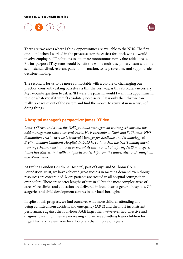

There are two areas where I think opportunities are available to the NHS. The first one – and when I worked in the private sector the easiest for quick wins – would involve employing IT solutions to automate monotonous non-value-added tasks. Fit-for-purpose IT systems would benefit the whole multidisciplinary team with one set of standardised, relevant patient information, to help save time and support safe decision-making.

The second is for us to be more comfortable with a culture of challenging our practice, constantly asking ourselves is this the best way, is this absolutely necessary. My favourite question to ask is: 'If I were the patient, would I want this appointment, test, or whatever, if it weren't absolutely necessary…' It is only then that we can really take waste out of the system and find the money to reinvest in new ways of doing things.

### A hospital manager's perspective: James O'Brien

*James O'Brien undertook the NHS graduate management training scheme and has held management roles at several trusts. He is currently at Guy's and St Thomas' NHS Foundation Trust where he is General Manager for Medicine and Neonatology at Evelina London Children's Hospital. In 2015 he co-launched the trust's management training scheme, which is about to recruit its third cohort of aspiring NHS managers. James has Masters in health and public leadership from the universities of Birmingham and Manchester.*

At Evelina London Children's Hospital, part of Guy's and St Thomas' NHS Foundation Trust, we have achieved great success in meeting demand even though resources are constrained. More patients are treated in all hospital settings than ever before. There are shorter lengths of stay in all but the most complex areas of care. More clinics and education are delivered in local district general hospitals, GP surgeries and child development centres in our local boroughs.

In spite of this progress, we find ourselves with more children attending and being admitted from accident and emergency (A&E) and the most inconsistent performance against the four-hour A&E target than we've ever had. Elective and diagnostic waiting times are increasing and we are admitting fewer children for urgent tertiary review from local hospitals than in previous years.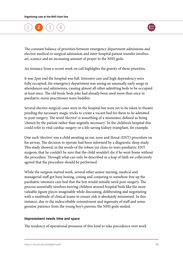

The constant balance of priorities between emergency department admissions and elective medical or surgical admission and inter-hospital patient transfer involves art, science and an increasing amount of prayer to the NHS gods.

An instance from a recent week on call highlights the gravity of these priorities.

It was 2pm and the hospital was full. Intensive care and high dependency were fully occupied; the emergency department was seeing an unusually early surge in attendances and admissions, causing almost all other admitting beds to be occupied at least once. The old bunk-beds joke had already been used more than once in paediatric nurse practitioner team huddles.

Several elective surgical cases were in the hospital but were yet to be taken to theatre pending the necessary magic tricks to create a vacant bed for them to be admitted to post-surgery. The word 'elective' is something of a misnomer, defined as being 'chosen by the patient rather than urgently necessary'. In the children's hospital this could refer to vital cardiac surgery or a life-saving kidney transplant, for example.

One such 'elective' was a child awaiting an ear, nose and throat (ENT) procedure on his airway. The decision to operate had been informed by a diagnostic sleep study. This study showed, in the words of the robust yet close-to-tears paediatric ENT surgeon, that he couldn't be sure that the child wouldn't die if he went home without the procedure. Through what can only be described as a leap of faith we collectively agreed that the procedure should be performed.

While the surgeon started work, several other senior nursing, medical and managerial staff got busy boxing, coxing and conjuring to somehow free up the paediatric intensive care bed that the boy would initially need post-surgery. The process essentially involves moving children around hospital beds like the most valuable jigsaw pieces imaginable while discussing, deliberating and negotiating with a multitude of clinical teams to ensure risk is absolutely minimised. In this instance, due to the indescribable commitment and ingenuity of staff and some genuine patience from the young boy's parents, the NHS gods smiled.

### Improvement needs time and space

The tendency of operational pressures of this kind to take precedence over work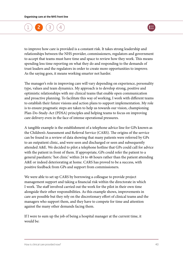

to improve how care is provided is a constant risk. It takes strong leadership and relationships between the NHS provider, commissioners, regulators and government to accept that teams must have time and space to review how they work. This means spending less time reporting on what they do and responding to the demands of trust leaders and the regulators in order to create more opportunities to improve. As the saying goes, it means working smarter not harder.

The manager's role in improving care will vary depending on experience, personality type, values and team dynamics. My approach is to develop strong, positive and optimistic relationships with my clinical teams that enable open communication and proactive planning. To facilitate this way of working, I work with different teams to establish their future visions and action plans to support implementation. My role is to ensure pragmatic steps are taken to help us towards our vision, championing Plan-Do-Study-Act (PDSA) principles and helping teams to focus on improving care delivery even in the face of intense operational pressures.

A tangible example is the establishment of a telephone advice line for GPs known as the Children's Assessment and Referral Service (CARS). The origins of the service can be found in a review of data showing that many patients were referred by GPs to an outpatient clinic, and were seen and discharged or seen and subsequently attended A&E. We decided to pilot a telephone hotline that GPs could call for advice with the patient in front of them. If appropriate, GPs could refer the patient to a general paediatric 'hot clinic' within 24 to 48 hours rather than the patient attending A&E or indeed deteriorating at home. CARS has proved to be a success, with positive feedback from GPs and support from commissioners.

We were able to set up CARS by borrowing a colleague to provide project management support and taking a financial risk within the directorate in which I work. The staff involved carried out the work for the pilot in their own time alongside their other responsibilities. As this example shows, improvements in care are possible but they rely on the discretionary effort of clinical teams and the managers who support them, and they have to compete for time and attention against the many other demands facing them.

If I were to sum up the job of being a hospital manager at the current time, it would be: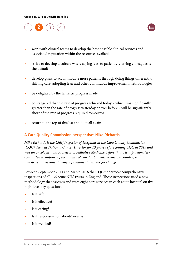

- **•** strive to develop a culture where saying 'yes' to patients/referring colleagues is the default
- **•** develop plans to accommodate more patients through doing things differently, shifting care, adopting lean and other continuous improvement methodologies
- **•** be delighted by the fantastic progress made
- **•** be staggered that the rate of progress achieved today which was significantly greater than the rate of progress yesterday or ever before – will be significantly short of the rate of progress required tomorrow
- **•** return to the top of this list and do it all again…

### A Care Quality Commission perspective: Mike Richards

*Mike Richards is the Chief Inspector of Hospitals at the Care Quality Commission (CQC). He was National Cancer Director for 13 years before joining CQC in 2013 and was an oncologist and Professor of Palliative Medicine before that. He is passionately committed to improving the quality of care for patients across the country, with transparent assessment being a fundamental driver for change.*

Between September 2013 and March 2016 the CQC undertook comprehensive inspections of all 136 acute NHS trusts in England. These inspections used a new methodology that assesses and rates eight core services in each acute hospital on five high-level key questions.

- **•** Is it safe?
- **•** Is it effective?
- **•** Is it caring?
- **•** Is it responsive to patients' needs?
- **•** Is it well led?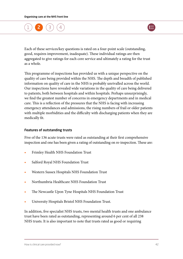

Each of these services/key questions is rated on a four-point scale (outstanding, good, requires improvement, inadequate). These individual ratings are then aggregated to give ratings for each core service and ultimately a rating for the trust as a whole.

This programme of inspections has provided us with a unique perspective on the quality of care being provided within the NHS. The depth and breadth of published information on quality of care in the NHS is probably unrivalled across the world. Our inspections have revealed wide variations in the quality of care being delivered to patients, both between hospitals and within hospitals. Perhaps unsurprisingly, we find the greatest number of concerns in emergency departments and in medical care. This is a reflection of the pressures that the NHS is facing with increasing emergency attendances and admissions, the rising numbers of frail or older patients with multiple morbidities and the difficulty with discharging patients when they are medically fit.

### Features of outstanding trusts

Five of the 136 acute trusts were rated as outstanding at their first comprehensive inspection and one has been given a rating of outstanding on re-inspection. These are:

- **•** Frimley Health NHS Foundation Trust
- **•** Salford Royal NHS Foundation Trust
- **•** Western Sussex Hospitals NHS Foundation Trust
- **•** Northumbria Healthcare NHS Foundation Trust
- **•** The Newcastle Upon Tyne Hospitals NHS Foundation Trust
- **•** University Hospitals Bristol NHS Foundation Trust.

In addition, five specialist NHS trusts, two mental health trusts and one ambulance trust have been rated as outstanding, representing around 6 per cent of all 238 NHS trusts. It is also important to note that trusts rated as good or requiring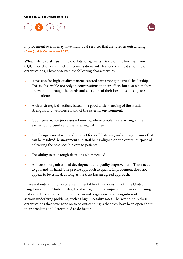

improvement overall may have individual services that are rated as outstanding ([Care Quality Commission 2017](www.cqc.org.uk/content/state-care-nhs-acute-hospitals)).

What features distinguish these outstanding trusts? Based on the findings from CQC inspections and in-depth conversations with leaders of almost all of these organisations, I have observed the following characteristics:

- **•** A passion for high-quality, patient-centred care among the trust's leadership. This is observable not only in conversations in their offices but also when they are walking through the wards and corridors of their hospitals, talking to staff and patients.
- **•** A clear strategic direction, based on a good understanding of the trust's strengths and weaknesses, and of the external environment.
- **•** Good governance processes knowing where problems are arising at the earliest opportunity and then dealing with them.
- **•** Good engagement with and support for staff, listening and acting on issues that can be resolved. Management and staff being aligned on the central purpose of delivering the best possible care to patients.
- The ability to take tough decisions when needed.
- **•** A focus on organisational development and quality improvement. These need to go hand-in-hand. The precise approach to quality improvement does not appear to be critical, as long as the trust has an agreed approach.

In several outstanding hospitals and mental health services in both the United Kingdom and the United States, the starting point for improvement was a 'burning platform'. This could be either an individual tragic case or a recognition of serious underlying problems, such as high mortality rates. The key point in these organisations that have gone on to be outstanding is that they have been open about their problems and determined to do better.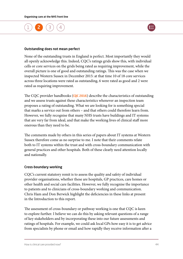



#### Outstanding does not mean perfect

None of the outstanding trusts in England is perfect. Most importantly they would all openly acknowledge this. Indeed, CQC's ratings grids show this, with individual cells or core services on the grids being rated as requiring improvement, while the overall picture is one of good and outstanding ratings. This was the case when we inspected Western Sussex in December 2015: at that time 10 of 18 core services across three locations were rated as outstanding, 6 were rated as good and 2 were rated as requiring improvement.

The CQC provider handbooks ([CQC 2016](http://www.cqc.org.uk/content/provider-handbooks)) describe the characteristics of outstanding and we assess trusts against these characteristics whenever an inspection team proposes a rating of outstanding. What we are looking for is something special that marks a service out from others – and that others could therefore learn from. However, we fully recognise that many NHS trusts have buildings and IT systems that are very far from ideal, and that make the working lives of clinical staff more onerous than they need to be.

The comments made by others in this series of papers about IT systems at Western Sussex therefore come as no surprise to me. I note that their comments relate both to IT systems within the trust and with cross-boundary communication with general practices and other hospitals. Both of these clearly need attention locally and nationally.

### Cross-boundary working

CQC's current statutory remit is to assess the quality and safety of individual provider organisations, whether these are hospitals, GP practices, care homes or other health and social care facilities. However, we fully recognise the importance to patients and to clinicians of cross-boundary working and communication. Chris Ham and Don Berwick highlight the deficiencies in these links at present in the Introduction to this report.

The assessment of cross-boundary or pathway working is one that CQC is keen to explore further. I believe we can do this by asking relevant questions of a range of key stakeholders and by incorporating these into our future assessments and ratings of hospitals. For example, we could ask local GPs how easy it is to get advice from specialists by phone or email and how rapidly they receive information after a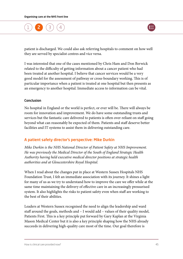

patient is discharged. We could also ask referring hospitals to comment on how well they are served by specialist centres and vice versa.

I was interested that one of the cases mentioned by Chris Ham and Don Berwick related to the difficulty of getting information about a cancer patient who had been treated at another hospital. I believe that cancer services would be a very good model for the assessment of pathway or cross-boundary working. This is of particular importance when a patient is treated at one hospital but then presents as an emergency to another hospital. Immediate access to information can be vital.

### Conclusion

No hospital in England or the world is perfect, or ever will be. There will always be room for innovation and improvement. We do have some outstanding trusts and services but the fantastic care delivered to patients is often over-reliant on staff going beyond what can reasonably be expected of them. Patients and staff deserve better facilities and IT systems to assist them in delivering outstanding care.

# A patient safety director's perspective: Mike Durkin

*Mike Durkin is the NHS National Director of Patient Safety at NHS Improvement. He was previously the Medical Director of the South of England Strategic Health Authority having held executive medical director positions at strategic health authorities and at Gloucestershire Royal Hospital.* 

When I read about the changes put in place at Western Sussex Hospitals NHS Foundation Trust, I felt an immediate association with its journey. It shines a light for many of us as we try to understand how to improve the care we offer while at the same time maintaining the delivery of effective care in an increasingly pressurised system. It also highlights the risks to patient safety even when staff are working to the best of their abilities.

Leaders at Western Sussex recognised the need to align the leadership and ward staff around the goals, methods and – I would add – values of their quality model, Patients First. This is a key principle put forward by Gary Kaplan at the Virginia Mason Medical Center but it is also a key principle shaping how the NHS already succeeds in delivering high-quality care most of the time. Our goal therefore is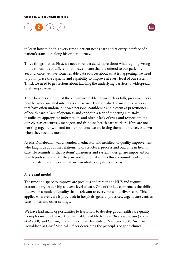

to learn how to do this every time a patient needs care and at every interface of a patient's transition along his or her journey.

Three things matter. First, we need to understand more about what is going wrong in the thousands of different pathways of care that are offered to our patients. Second, once we have some reliable data sources about what is happening, we need to put in place the capacity and capability to improve at every level of our system. Third, we need to get serious about tackling the underlying barriers to widespread safety improvement.

These barriers are not just the known avoidable harms such as falls, pressure ulcers, health care-associated infections and sepsis. They are also the insidious barriers that have often undone our own personal confidence and esteem as practitioners of health care: a lack of openness and candour, a fear of reporting a mistake, insufficient appropriate information, and often a lack of trust and respect among ourselves as executives, managers and frontline health care workers. If we are not working together with and for our patients, we are letting them and ourselves down when they need us most.

Avedis Donabedian was a wonderful educator and architect of quality improvement who taught us about the relationship of structure, process and outcome in health care. He reminds us that systems' awareness and systems' design are important for health professionals. But they are not enough: it is the ethical commitments of the individuals providing care that are essential to a system's success.

### A relevant model

The time and space to improve are precious and rare in the NHS and require extraordinary leadership at every level of care. One of the key elements is the ability to develop a model of quality that is relevant to everyone who delivers care. This applies wherever care is provided: in hospitals, general practices, urgent care centres, care homes and other settings.

We have had many opportunities to learn how to develop good health care quality. Examples include the work of the Institute of Medicine in *To err is human* (Kohn *et al* 2000) and *Crossing the quality chasm* (Institute of Medicine 2000); Sir Liam Donaldson as Chief Medical Officer describing the principles of good clinical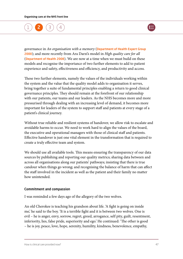

governance in *An organisation with a memory* ([Department of Health Expert Group](http://webarchive.nationalarchives.gov.uk/20130107105354/http://www.dh.gov.uk/en/Publicationsandstatistics/Publications/PublicationsPolicyAndGuidance/DH_4065083)  [2000](http://webarchive.nationalarchives.gov.uk/20130107105354/http://www.dh.gov.uk/en/Publicationsandstatistics/Publications/PublicationsPolicyAndGuidance/DH_4065083)); and more recently from Ara Darzi's model in *High quality care for all* ([Department of Health 2008](http://www.gov.uk/government/publications/high-quality-care-for-all-nhs-next-stage-review-final-report)). We are now at a time when we must build on these models and recognise the importance of two further elements to add to patient experience and safety, effectiveness and efficiency, and productivity and access.

These two further elements, namely the values of the individuals working within the system and the value that the quality model adds to organisation it serves, bring together a suite of fundamental principles enabling a return to good clinical governance principles. They should remain at the forefront of our relationship with our patients, our teams and our leaders. As the NHS becomes more and more pressurised through dealing with an increasing level of demand, it becomes more important for leaders of the system to support staff and patients at every stage of a patient's clinical journey.

Without true reliable and resilient systems of handover, we allow risk to escalate and avoidable harms to occur. We need to work hard to align the values of the board, the executive and operational managers with those of clinical staff and patients. Effective handover is just one vital element in the transformation that is required to create a truly effective team and system.

We should use all available tools. This means ensuring the transparency of our data sources by publishing and reporting our quality metrics; sharing data between and across all organisations along our patients' pathways; insisting that there is true candour when things go wrong; and recognising the balance of harm that can affect the staff involved in the incident as well as the patient and their family no matter how unintended.

### Commitment and compassion

I was reminded a few days ago of the allegory of the two wolves.

An old Cherokee is teaching his grandson about life. 'A fight is going on inside me,' he said to the boy. 'It is a terrible fight and it is between two wolves. One is evil – he is anger, envy, sorrow, regret, greed, arrogance, self pity, guilt, resentment, inferiority, lies, false pride, superiority and ego.' He continued: 'The other is good – he is joy, peace, love, hope, serenity, humility, kindness, benevolence, empathy,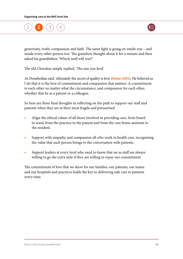

generosity, truth, compassion and faith. The same fight is going on inside you – and inside every other person too.' The grandson thought about it for a minute and then asked his grandfather, 'Which wolf will win?'

The old Cherokee simply replied, 'The one you feed'.

As Donabedian said, 'ultimately the secret of quality is love' ([Mullan 2001](http://content.healthaffairs.org/content/20/1.toc)). He believed as I do that it is the love of commitment and compassion that matters. A commitment to each other no matter what the circumstance, and compassion for each other, whether that be as a patient or a colleague.

So here are three final thoughts in reflecting on the path to support our staff and patients when they are at their most fragile and pressurised.

- **•** Align the ethical values of all those involved in providing care, from board to ward, from the practice to the patient and from the care home assistant to the resident.
- **•** Support with empathy and compassion all who work in health care, recognising the value that each person brings to the conversation with patients.
- **•** Support leaders at every level who need to know that we as staff are always willing to go the extra mile if they are willing to repay our commitment.

The commitment of love that we show for our families, our patients, our teams and our hospitals and practices holds the key to delivering safe care to patients every time.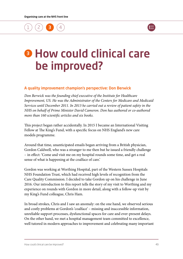

# <span id="page-49-0"></span>**8 How could clinical care** be improved?

### A quality improvement champion's perspective: Don Berwick

*Don Berwick was the founding chief executive of the Institute for Healthcare Improvement, US. He was the Administrator of the Centers for Medicare and Medicaid Services until December 2011. In 2013 he carried out a review of patient safety in the NHS on behalf of Prime Minister David Cameron. Don has authored or co-authored more than 160 scientific articles and six books.*

This project began rather accidentally. In 2015 I became an International Visiting Fellow at The King's Fund, with a specific focus on NHS England's new care models programme.

Around that time, unanticipated emails began arriving from a British physician, Gordon Caldwell, who was a stranger to me then but he issued a friendly challenge – in effect: 'Come and visit me on my hospital rounds some time, and get a real sense of what is happening at the coalface of care.'

Gordon was working at Worthing Hospital, part of the Western Sussex Hospitals NHS Foundation Trust, which had received high levels of recognition from the Care Quality Commission. I decided to take Gordon up on his challenge in June 2016. Our introduction to this report tells the story of my visit to Worthing and my experience on rounds with Gordon in more detail, along with a follow-up visit by my King's Fund colleague, Chris Ham.

In broad strokes, Chris and I saw an anomaly: on the one hand, we observed serious and costly problems at Gordon's 'coalface' – missing and inaccessible information, unreliable support processes, dysfunctional spaces for care and ever-present delays. On the other hand, we met a hospital management team committed to excellence, well tutored in modern approaches to improvement and celebrating many important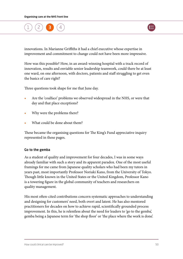

innovations. In Marianne Griffiths it had a chief executive whose expertise in improvement and commitment to change could not have been more impressive.

How was this possible? How, in an award-winning hospital with a track record of innovation, results and enviable senior leadership teamwork, could there be at least one ward, on one afternoon, with doctors, patients and staff struggling to get even the basics of care right?

Three questions took shape for me that June day.

- **•** Are the 'coalface' problems we observed widespread in the NHS, or were that day and that place exceptions?
- **•** Why were the problems there?
- **•** What could be done about them?

These became the organising questions for The King's Fund appreciative inquiry represented in these pages.

### Go to the gemba

As a student of quality and improvement for four decades, I was in some ways already familiar with such a story and its apparent paradox. One of the most useful framings for me came from Japanese quality scholars who had been my tutors in years past, most importantly Professor Noriaki Kano, from the University of Tokyo. Though little known in the United States or the United Kingdom, Professor Kano is a towering figure in the global community of teachers and researchers on quality management.

His most often-cited contributions concern systematic approaches to understanding and designing for customers' need, both overt and latent. He has also mentored practitioners for decades on how to achieve rapid, scientifically grounded process improvement. In this, he is relentless about the need for leaders to 'go to the gemba', gemba being a Japanese term for 'the shop floor' or 'the place where the work is done'.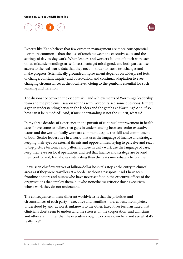

Experts like Kano believe that few errors in management are more consequential – or more common – than the loss of touch between the executive suite and the settings of day-to-day work. When leaders and workers fall out of touch with each other, misunderstandings arise, investments get misaligned, and both parties lose access to the real-world data that they need in order to learn, test changes and make progress. Scientifically grounded improvement depends on widespread tests of change, constant inquiry and observation, and continual adaptation to everchanging circumstances at the local level. Going to the gemba is essential for such learning and iteration.

The dissonance between the evident skill and achievements of Worthing's leadership team and the problems I saw on rounds with Gordon raised some questions. Is there a gap in understanding between the leaders and the gemba at Worthing? And, if so, how can it be remedied? And, if misunderstanding is not the culprit, what is?

In my three decades of experience in the pursuit of continual improvement in health care, I have come to believe that gaps in understanding between senior executive teams and the world of daily work are common, despite the skill and commitment of both. Senior leaders live in a world that uses the language of finance and strategy, keeping their eyes on external threats and opportunities, trying to perceive and react to big-picture tectonics and patterns. Those in daily work use the language of care, keep their eyes on local operations, and feel that finance and strategy are beyond their control and, frankly, less interesting than the tasks immediately before them.

I have seen chief executives of billion-dollar hospitals stop at the entry to clinical areas as if they were travellers at a border without a passport. And I have seen frontline doctors and nurses who have never set foot in the executive offices of the organisations that employ them, but who nonetheless criticise those executives, whose work they do not understand.

The consequence of these different worldviews is that the priorities and circumstances of each party – executive and frontline – are, at best, incompletely understood by and, at worst, unknown to the other. Executives feel frustrated that clinicians don't seem to understand the stresses on the corporation; and clinicians and other staff mutter that the executives ought to 'come down here and see what it's really like!'.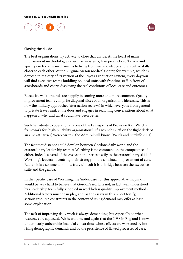



#### Closing the divide

The best organisations try actively to close that divide. At the heart of many improvement methodologies – such as six-sigma, lean production, 'kaizen' and 'quality circles' – lie mechanisms to bring frontline knowledge and executive skills closer to each other. At the Virginia Mason Medical Center, for example, which is devoted to mastery of its version of the Toyota Production System, every day you will find executive teams huddling on local units with frontline staff in front of storyboards and charts displaying the real conditions of local care and outcomes.

Executive walk-arounds are happily becoming more and more common. Quality improvement teams comprise diagonal slices of an organisation's hierarchy. This is how the military approaches 'after action reviews', in which everyone from general to private leaves rank at the door and engages in searching conversations about what happened, why, and what could have been better.

Such 'sensitivity to operations' is one of the key aspects of Professor Karl Weick's framework for 'high-reliability organisations'. 'If a wrench is left on the flight deck of an aircraft carrier,' Weick writes, 'the Admiral will know' (Weick and Sutcliffe 2001).

The fact that distance could develop between Gordon's daily world and the extraordinary leadership team at Worthing is no comment on the competence of either. Indeed, several of the essays in this series testify to the extraordinary skill of Worthing's leaders in centring their strategy on the continual improvement of care. Rather, it is a comment on how truly difficult it is to bridge between the executive suite and the gemba.

In the specific case of Worthing, the 'index case' for this appreciative inquiry, it would be very hard to believe that Gordon's world is not, in fact, well understood by a leadership team fully schooled in world-class quality improvement methods. Additional factors must be in play, and, as the essays in this report testify, serious resource constraints in the context of rising demand may offer at least some explanation.

The task of improving daily work is always demanding, but especially so when resources are squeezed. We heard time and again that the NHS in England is now under nearly unbearable financial constraints, whose effects are worsened by both rising demographic demands and by the persistence of flawed processes of care.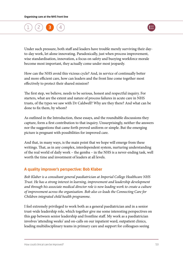



Under such pressure, both staff and leaders have trouble merely surviving their dayto-day work, let alone innovating. Paradoxically, just when process improvement, wise standardisation, innovation, a focus on safety and buoying workforce morale become most important, they actually come under most jeopardy.

How can the NHS avoid this vicious cycle? And, in service of continually better and more efficient care, how can leaders and the front line come together most effectively to protect their shared mission?

The first step, we believe, needs to be serious, honest and respectful inquiry. For starters, what are the extent and nature of process failures in acute care in NHS trusts, of the types we saw with Dr Caldwell? Why are they there? And what can be done to fix them, by whom?

As outlined in the Introduction, these essays, and the roundtable discussions they capture, form a first contribution to that inquiry. Unsurprisingly, neither the answers nor the suggestions that came forth proved uniform or simple. But the emerging picture is pregnant with possibilities for improved care.

And that, in many ways, is the main point that we hope will emerge from these writings. That, as in any complex, interdependent system, nurturing understanding of the real world of daily work – the gemba – in the NHS is a never-ending task, well worth the time and investment of leaders at all levels.

# A quality improver's perspective: Bob Klaber

*Bob Klaber is a consultant general paediatrician at Imperial College Healthcare NHS Trust. He has a strong interest in learning, improvement and leadership development and through his associate medical director role is now leading work to create a culture of improvement across the organisation. Bob also co-leads the Connecting Care for Children integrated child health programme.* 

I feel extremely privileged to work both as a general paediatrician and in a senior trust-wide leadership role, which together give me some interesting perspectives on this gap between senior leadership and frontline staff. My work as a paediatrician involves 'attending weeks' and on-calls on our inpatient ward, outpatient clinics, leading multidisciplinary teams in primary care and support for colleagues seeing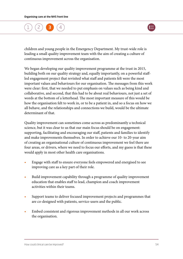

children and young people in the Emergency Department. My trust-wide role is leading a small quality improvement team with the aim of creating a culture of continuous improvement across the organisation.

We began developing our quality improvement programme at the trust in 2015, building both on our quality strategy and, equally importantly, on a powerful staffled engagement project that revisited what staff and patients felt were the most important values and behaviours for our organisation. The messages from this work were clear: first, that we needed to put emphasis on values such as being kind and collaborative, and second, that this had to be about real behaviours, not just a set of words at the bottom of a letterhead. The most important measure of this would be how the organisation felt to work in, or to be a patient in, and so a focus on how we all behave, and the relationships and connections we build, would be the ultimate determinant of that.

Quality improvement can sometimes come across as predominantly a technical science, but it was clear to us that our main focus should be on engagement: supporting, facilitating and encouraging our staff, patients and families to identify and make improvements themselves. In order to achieve our 10- to 20-year aim of creating an organisational culture of continuous improvement we feel there are four areas, or drivers, where we need to focus our efforts, and my guess is that these would apply in most other health care organisations.

- **•** Engage with staff to ensure everyone feels empowered and energised to see improving care as a key part of their role.
- **•** Build improvement capability through a programme of quality improvement education that enables staff to lead, champion and coach improvement activities within their teams.
- **•** Support teams to deliver focused improvement projects and programmes that are co-designed with patients, service-users and the public.
- **•** Embed consistent and rigorous improvement methods in all our work across the organisation.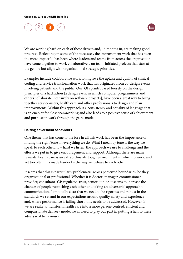

We are working hard on each of these drivers and, 18 months in, are making good progress. Reflecting on some of the successes, the improvement work that has been the most impactful has been where leaders and teams from across the organisation have come together to work collaboratively on team-initiated projects that start at the gemba but align with organisational strategic priorities.

Examples include collaborative work to improve the uptake and quality of clinical coding and service transformation work that has originated from co-design events involving patients and the public. Our 'QI sprints', based loosely on the design principles of a hackathon [a design event in which computer programmers and others collaborate intensively on software projects], have been a great way to bring together service-users, health care and other professionals to design and plan improvements. Within this approach is a consistency and equality of language that is an enabler for close teamworking and also leads to a positive sense of achievement and purpose in work through the gains made.

### Halting adversarial behaviours

One theme that has come to the fore in all this work has been the importance of finding the right 'tone' in everything we do. What I mean by tone is the way we speak to each other, how hard we listen, the approach we use to challenge and the efforts we put in to give encouragement and support. Although there are many rewards, health care is an extraordinarily tough environment in which to work, and yet too often it is made harder by the way we behave to each other.

It seems that this is particularly problematic across perceived boundaries, be they organisational or professional. Whether it is doctor–manager, commissioner– provider, consultant–GP, regulator–trust, senior–junior, it seems to increase the chances of people rubbishing each other and taking an adversarial approach to communication. I am totally clear that we need to be rigorous and robust in the standards we set and in our expectations around quality, safety and experience and, where performance is falling short, this needs to be addressed. However, if we are really to transform health care into a more person-centred, efficient and compassionate delivery model we all need to play our part in putting a halt to these adversarial behaviours.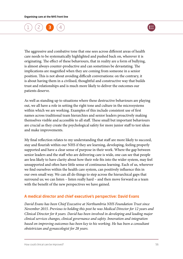

The aggressive and combative tone that one sees across different areas of health care needs to be systematically highlighted and pushed back on, wherever it is originating. The effect of these behaviours, that in reality are a form of bullying, is almost always counter-productive and can sometimes be devastating. The implications are magnified when they are coming from someone in a senior position. This is not about avoiding difficult conversations: on the contrary, it is about having them in a civilised, thoughtful and constructive way that builds trust and relationships and is much more likely to deliver the outcomes our patients deserve.

As well as standing up to situations where these destructive behaviours are playing out, we all have a role in setting the right tone and culture in the microsystems within which we are working. Examples of this include consistent use of first names across traditional team hierarchies and senior leaders proactively making themselves visible and accessible to all staff. These small but important behaviours are crucial as they create the psychological safety for more junior staff to test ideas and make improvements.

My final reflection relates to my understanding that staff are more likely to succeed, stay and flourish within our NHS if they are learning, developing, feeling properly supported and have a clear sense of purpose in their work. Where the gap between senior leaders and the staff who are delivering care is wide, one can see that people are less likely to have clarity about how their role fits into the wider system, may feel unsupported and often have little sense of continuous learning. Each of us, wherever we find ourselves within the health care system, can positively influence this in our own small way. We can all do things to step across the hierarchical gaps that surround us; we can listen – listen really hard – and then move forward as a team with the benefit of the new perspectives we have gained.

# A medical director and chief executive's perspective: David Evans

*David Evans has been Chief Executive at Northumbria NHS Foundation Trust since November 2015. Previous to holding this post he was Medical Director for 12 years and Clinical Director for 8 years. David has been involved in developing and leading major clinical services changes, clinical governance and safety. Innovation and integration based on improving outcomes has been key to his working. He has been a consultant obstetrician and gynaecologist for 28 years.*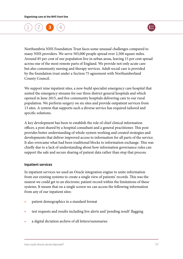

Northumbria NHS Foundation Trust faces some unusual challenges compared to many NHS providers. We serve 503,000 people spread over 2,500 square miles. Around 85 per cent of our population live in urban areas, leaving 15 per cent spread across one of the most remote parts of England. We provide not only acute care but also community nursing and therapy services. Adult social care is provided by the foundation trust under a Section 75 agreement with Northumberland County Council.

We support nine inpatient sites, a new-build specialist emergency care hospital that united the emergency streams for our three district general hospitals and which opened in June 2015, and five community hospitals delivering care to our rural population. We perform surgery on six sites and provide outpatient services from 13 sites. A system that supports such a diverse service has required tailored and specific solutions.

A key development has been to establish the role of chief clinical information officer, a post shared by a hospital consultant and a general practitioner. This post provides better understanding of whole-system working and created strategies and developments that deliver improved access to information for all parts of the service. It also overcame what had been traditional blocks to information exchange. This was chiefly due to a lack of understanding about how information governance rules can support the safe and secure sharing of patient data rather than stop that process.

### Inpatient services

In inpatient services we used an Oracle integration engine to unite information from our existing systems to create a single view of patients' records. This was the nearest we could get to an electronic patient record within the limitations of these systems. It means that on a single screen we can access the following information from any of our inpatient sites:

- **•** patient demographics in a standard format
- **•** test requests and results including live alerts and 'pending result' flagging
- **•** a digital dictation archive of all letters/summaries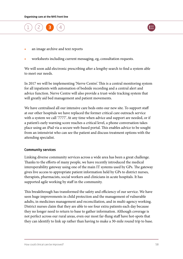



- **•** an image archive and text reports
- **•** worksheets including current messaging, eg, consultation requests.

We will soon add electronic prescribing after a lengthy search to find a system able to meet our needs.

In 2017 we will be implementing 'Nerve Centre'. This is a central monitoring system for all inpatients with automation of bedside recording and a central alert and advice function. Nerve Centre will also provide a trust-wide tracking system that will greatly aid bed management and patient movements.

We have centralised all our intensive care beds onto our new site. To support staff at our other hospitals we have replaced the former critical care outreach service with a system we call '7777'. At any time when advice and support are needed, or if a patient's early warning score reaches a critical level, a phone conversation takes place using an iPad via a secure web-based portal. This enables advice to be sought from an intensivist who can see the patient and discuss treatment options with the attending specialist.

### Community services

Linking diverse community services across a wide area has been a great challenge. Thanks to the efforts of many people, we have recently introduced the medical interoperability gateway using one of the main IT systems used by GPs. The gateway gives live access to appropriate patient information held by GPs to district nurses, therapists, pharmacists, social workers and clinicians in acute hospitals. It has supported agile working by staff in the community.

This breakthrough has transformed the safety and efficiency of our service. We have seen huge improvements in child protection and the management of vulnerable adults, in medicines management and reconciliation, and in multi-agency working. District nurses claim that they are able to see four extra patients each day because they no longer need to return to base to gather information. Although coverage is not perfect across our rural areas, even our most far-flung staff have hot-spots that they can identify to link up rather than having to make a 30-mile round trip to base.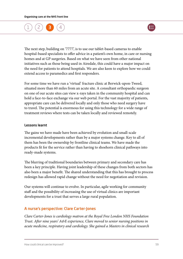

The next step, building on '7777', is to use our tablet-based cameras to enable hospital-based specialists to offer advice in a patient's own home, in care or nursing homes and at GP surgeries. Based on what we have seen from other national initiatives such as those being used in Airedale, this could have a major impact on the need for patients to attend hospitals. We are also keen to explore how we could extend access to paramedics and first responders.

For some time we have run a 'virtual' fracture clinic at Berwick-upon-Tweed, situated more than 60 miles from an acute site. A consultant orthopaedic surgeon on one of our acute sites can view x-rays taken in the community hospital and can hold a face-to-face exchange via our web portal. For the vast majority of patients, appropriate care can be delivered locally and only those who need surgery have to travel. The potential is enormous for using this technology for a wide range of treatment reviews where tests can be taken locally and reviewed remotely.

#### Lessons learnt

The gains we have made have been achieved by evolution and small-scale incremental developments rather than by a major systems change. Key to all of them has been the ownership by frontline clinical teams. We have made the products fit for the service rather than having to shoehorn clinical pathways into ready-made systems.

The blurring of traditional boundaries between primary and secondary care has been a key principle. Having joint leadership of these changes from both sectors has also been a major benefit. The shared understanding that this has brought to process redesign has allowed rapid change without the need for negotiation and revision.

Our systems will continue to evolve. In particular, agile working for community staff and the possibility of increasing the use of virtual clinics are important developments for a trust that serves a large rural population.

### A nurse's perspective: Clare Carter-Jones

*Clare Carter-Jones is cardiology matron at the Royal Free London NHS Foundation Trust. After nine years' A&E experience, Clare moved to senior nursing positions in acute medicine, respiratory and cardiology. She gained a Masters in clinical research*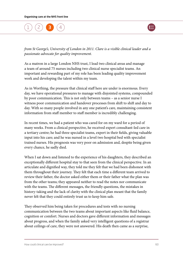

*from St George's, University of London in 2011. Clare is a visible clinical leader and a passionate advocate for quality improvement.*

As a matron in a large London NHS trust, I lead two clinical areas and manage a team of around 75 nurses including two clinical nurse specialist teams. An important and rewarding part of my role has been leading quality improvement work and developing the talent within my team.

As in Worthing, the pressure that clinical staff here are under is enormous. Every day, we have operational pressures to manage with disjointed systems, compounded by poor communication. This is not only between teams – as a senior nurse I witness poor communication and handover processes from shift to shift and day to day. With so many people involved in any one patient's care, maintaining consistent information from staff member to staff member is incredibly challenging.

In recent times, we had a patient who was cared for on my ward for a period of many weeks. From a clinical perspective, he received expert consultant-led care in a tertiary centre; he had three specialist teams, expert in their fields, giving valuable input into his care; and he was nursed in a level two hospital bed with specialist trained nurses. His prognosis was very poor on admission and, despite being given every chance, he sadly died.

When I sat down and listened to the experience of his daughters, they described an exceptionally different hospital stay to that seen from the clinical perspective. In an articulate and dignified way, they told me they felt that we had been dishonest with them throughout their journey. They felt that each time a different team arrived to review their father, the doctor asked either them or their father what the plan was from the other teams; they appeared neither to read the notes nor communicate with the teams. The different messages, the friendly questions, the mistakes in history-taking and the lack of clarity with the clinical plan meant that the family never felt that they could entirely trust us to keep him safe.

They observed him being taken for procedures and tests with no nursing communication between the two teams about important aspects like fluid balance, cognition or comfort. Nurses and doctors gave different information and messages about progress, and when the family asked very intelligent questions of a registrar about ceilings of care, they were not answered. His death then came as a surprise,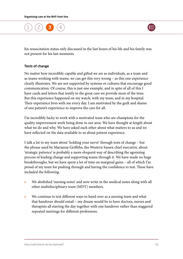

his resuscitation status only discussed in the last hours of his life and his family was not present for his last moments.

### Tests of change

No matter how incredibly capable and gifted we are as individuals, as a team and as teams working with teams, we can get this very wrong – as this one experience clearly illustrates. We are not supported by systems or cultures that encourage good communication. Of course, this is just one example, and in spite of all of this I have cards and letters that testify to the great care we provide most of the time. But this experience happened on my watch, with my team, and in my hospital. Their experience lives with me every day. I am motivated by the guilt and shame of one patient's experience to improve the care for all.

I'm incredibly lucky to work with a motivated team who are champions for the quality improvement work being done in our area. We have thought at length about what we do and why. We have asked each other about what matters to us and we have reflected on the data available to us about patient experience.

I talk a lot to my team about 'holding your nerve' through tests of change – but the phrase used by Marianne Griffiths, the Western Sussex chief executive, about 'strategic patience' is probably a more eloquent way of describing the agonising process of leading change and supporting teams through it. We have made no huge breakthroughs, but we have spent a lot of time on marginal gains – all of which I'm proud of my team for pushing through and having the confidence to test. These have included the following.

- **•** We abolished 'nursing notes' and now write in the medical notes along with all other multidisciplinary team (MDT) members.
- **•** We continue to test different ways to hand over as a nursing team and what that handover should entail – my dream would be to have doctors, nurses and therapists all starting the day together with one handover rather than staggered repeated meetings for different professions.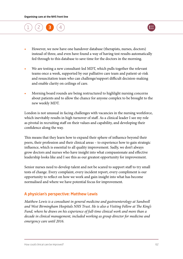



- **•** However, we now have one handover database (therapists, nurses, doctors) instead of three, and even have found a way of having test results automatically fed through to this database to save time for the doctors in the morning.
- **•** We are testing a new consultant-led MDT, which pulls together the relevant teams once a week, supported by our palliative care team and patient-at-risk and resuscitation team who can challenge/support difficult decision-making and enable clarity on ceilings of care.
- **•** Morning board rounds are being restructured to highlight nursing concerns about patients and to allow the chance for anyone complex to be brought to the new weekly MDT.

London is not unusual in facing challenges with vacancies in the nursing workforce, which inevitably results in high turnover of staff. As a clinical leader I see my role as pivotal in recruiting staff on their values and capability, and developing their confidence along the way.

This means that they learn how to expand their sphere of influence beyond their peers, their profession and their clinical areas – to experience how to gain strategic influence, which is essential to all quality improvement. Sadly, we don't always grow doctors and nurses who have insight into what compassionate and effective leadership looks like and I see this as our greatest opportunity for improvement.

Senior nurses need to develop talent and not be scared to support staff to try small tests of change. Every complaint, every incident report, every compliment is our opportunity to reflect on how we work and gain insight into what has become normalised and where we have potential focus for improvement.

# A physician's perspective: Matthew Lewis

*Matthew Lewis is a consultant in general medicine and gastroenterology at Sandwell and West Birmingham Hospitals NHS Trust. He is also a Visiting Fellow at The King's*  Fund, where he draws on his experience of full-time clinical work and more than a *decade in clinical management, included working as group director for medicine and emergency care until 2016.*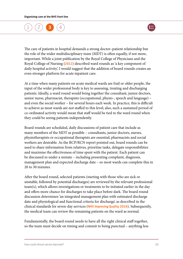

The care of patients in hospital demands a strong doctor–patient relationship but the role of the wider multidisciplinary team (MDT) is often equally, if not more, important. While a joint publication by the Royal College of Physicians and the Royal College of Nursing ([2012](www.rcplondon.ac.uk/projects/outputs/ward-rounds-medicine-principles-best-practice)) described ward rounds as 'a key component of daily hospital activity', I would suggest that the addition of board rounds creates an even stronger platform for acute inpatient care.

At a time when many patients on acute medical wards are frail or older people, the input of the wider professional body is key to assessing, treating and discharging patients. Ideally, a ward round would bring together the consultant, junior doctors, senior nurse, pharmacist, therapists (occupational, physio-, speech and language) – and even the social worker – for several hours each week. In practice, this is difficult to achieve as most wards are not staffed to this level; also, such a sustained period of co-ordinated activity would mean that staff would be tied to the ward round when they could be seeing patients independently.

Board rounds are scheduled, daily discussions of patient care that include as many members of the MDT as possible – consultants, junior doctors, nurses, physiotherapists or occupational therapists are essential; pharmacists and social workers are desirable. As the RCP/RCN report pointed out, board rounds can be used to share information from relatives, prioritise tasks, delegate responsibilities and maximise the effectiveness of time spent with the patient. Each patient can be discussed in under a minute – including presenting complaint, diagnosis, management plan and expected discharge date – so most wards can complete this in 20 to 30 minutes.

After the board round, selected patients (starting with those who are sick or unstable, followed by potential discharges) are reviewed by the relevant professional team(s), which allows investigations or treatments to be initiated earlier in the day and offers more chance for discharges to take place before dark. The board round discussion determines 'an integrated management plan with estimated discharge date and physiological and functional criteria for discharge', as described in the clinical standards for seven-day services ([NHS Improving Quality 2016](http://webarchive.nationalarchives.gov.uk/20160506181809/http://www.nhsiq.nhs.uk/media/2638611/clinical_standards.pdf)). Subsequently, the medical team can review the remaining patients on the ward as normal.

Fundamentally, the board round needs to have all the right clinical staff together, so the team must decide on timing and commit to being punctual – anything less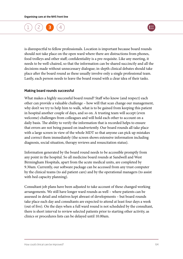

is disrespectful to fellow professionals. Location is important because board rounds should not take place on the open ward where there are distractions from phones, food trolleys and other staff; confidentiality is a pre-requisite. Like any meeting, it needs to be well-chaired, so that the information can be shared succinctly and all the decisions made without unnecessary dialogue; in-depth clinical debates should take place after the board round as these usually involve only a single professional team. Lastly, each person needs to leave the board round with a clear idea of their tasks.

### Making board rounds successful

What makes a highly successful board round? Staff who know (and respect) each other can provide a valuable challenge – how will that scan change our management, why don't we try to help him to walk, what is to be gained from keeping this patient in hospital another couple of days, and so on. A trusting team will accept (even welcome) challenges from colleagues and will hold each other to account on a daily basis. The ability to verify the information that is recorded helps to ensure that errors are not being passed on inadvertently. Our board rounds all take place with a large screen in view of the whole MDT so that anyone can pick up mistakes and correct them immediately (the screen shows extensive information including diagnosis, social situation, therapy reviews and resuscitation status).

Information generated by the board round needs to be accessible promptly from any point in the hospital. So all medicine board rounds at Sandwell and West Birmingham Hospitals, apart from the acute medical units, are completed by 9.30am. Currently, our software package can be accessed from any trust computer by the clinical teams (to aid patient care) and by the operational managers (to assist with bed capacity planning).

Consultant job plans have been adjusted to take account of these changed working arrangements. We still have longer ward rounds as well – where patients can be assessed in detail and relatives kept abreast of developments – but board rounds take place each day and consultants are expected to attend at least four days a week (out of five). On the days when a full ward round is not scheduled by the consultant, there is short interval to review selected patients prior to starting other activity, as clinics or procedures lists can be delayed until 10.00am.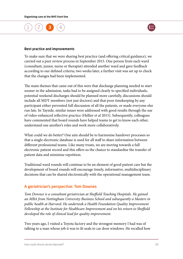



#### Best practice and improvements

To make sure that we were sharing best practice (and offering critical guidance), we carried out a peer review process in September 2015. One person from each ward (consultant, junior, nurse or therapist) attended another ward and gave feedback according to our defined criteria; two weeks later, a further visit was set up to check that the changes had been implemented.

The main themes that came out of this were that discharge planning needed to start sooner in the admission, tasks had to be assigned clearly to specified individuals, potential weekend discharges should be planned more carefully, discussions should include all MDT members (not just doctors) and that poor timekeeping by any participant either prevented full discussion of all the patients, or made everyone else run late. In Tayside, similar issues were addressed with good results through the use of video-enhanced reflective practice (Hellier *et al* 2015). Subsequently, colleagues have commented that board rounds have helped teams to get to know each other, understand one another's roles and work more collaboratively.

What could we do better? One aim should be to harmonise handover processes so that a single electronic database is used for all staff to share information between different professional teams. Like many trusts, we are moving towards a full electronic patient record and this offers us the chance to standardise the transfer of patient data and minimise repetition.

Traditional ward rounds will continue to be an element of good patient care but the development of board rounds will encourage timely, informative, multidisciplinary decisions that can be shared electronically with the operational management team.

### A geriatrician's perspective: Tom Downes

*Tom Downes is a consultant geriatrician at Sheffield Teaching Hospitals. He gained an MBA from Nottingham University Business School and subsequently a Masters in public health at Harvard. He undertook a Health Foundation Quality Improvement Fellowship at the Institute for Healthcare Improvement and on his return to Sheffield developed the role of clinical lead for quality improvement.* 

Two years ago, I visited a Toyota factory and the strongest memory I had was of talking to a man whose job it was to fit seals to car door windows. He recalled how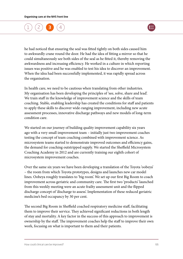

he had noticed that ensuring the seal was fitted tightly on both sides caused him to awkwardly crane round the door. He had the idea of fitting a mirror so that he could simultaneously see both sides of the seal as he fitted it, thereby removing the awkwardness and increasing efficiency. He worked in a culture in which reporting issues was positive and he was enabled to test his idea to discover an improvement. When the idea had been successfully implemented, it was rapidly spread across the organisation.

In health care, we need to be cautious when translating from other industries. My organisation has been developing the principles of 'see, solve, share and lead'. We train staff in the knowledge of improvement science and the skills of team coaching. Stable, enabling leadership has created the conditions for staff and patients to apply these skills to discover wide-ranging improvement, including new acute assessment processes, innovative discharge pathways and new models of long-term condition care.

We started on our journey of building quality improvement capability six years ago with a very small improvement team – initially just two improvement coaches testing the concept of team coaching combined with improvement science. As microsystem teams started to demonstrate improved outcomes and efficiency gains, the demand for coaching outstripped supply. We started the Sheffield Microsystem Coaching Academy in 2012 and are currently training our eighth cohort of microsystem improvement coaches.

Over the same six years we have been developing a translation of the Toyota 'oobeya' – the room from which Toyota prototypes, designs and launches new car model lines. Oobeya roughly translates to 'big room'. We set up our first Big Room to coach improvement across geriatric and community care. The first two 'products' launched from this weekly meeting were an acute frailty assessment unit and the flipped discharge concept of 'discharge to assess'. Implementation of these reduced geriatric medicine's bed occupancy by 30 per cent.

The second Big Room in Sheffield coached respiratory medicine staff, facilitating them to improve their service. They achieved significant reductions in both length of stay and mortality. A key factor in the success of this approach to improvement is ownership by the staff. The improvement coaches help the staff to improve their own work, focusing on what is important to them and their patients.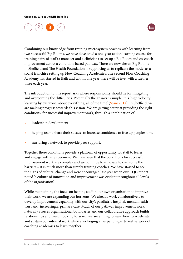

Combining our knowledge from training microsystem coaches with learning from two successful Big Rooms, we have developed a one-year action learning course for training pairs of staff (a manager and a clinician) to set up a Big Room and co-coach improvement across a condition-based pathway. There are now eleven Big Rooms in Sheffield and The Health Foundation is supporting us to replicate the model as a social franchise setting up Flow Coaching Academies. The second Flow Coaching Academy has started in Bath and within one year there will be five, with a further three each year.

The introduction to this report asks where responsibility should lie for mitigating and overcoming the difficulties. Potentially the answer is simple: it is 'high velocity learning by everyone, about everything, all of the time' ([Spear 2017](www.health.org.uk/publication/fast-discovery)). In Sheffield, we are making progress towards this vision. We are getting better at providing the right conditions, for successful improvement work, through a combination of:

- **•** leadership development
- **•** helping teams share their success to increase confidence to free up people's time
- **•** nurturing a network to provide peer support.

Together these conditions provide a platform of opportunity for staff to learn and engage with improvement. We have seen that the conditions for successful improvement work are complex and we continue to innovate to overcome the barriers – it is much more than simply training coaches. We have started to see the signs of cultural change and were encouraged last year when our CQC report noted 'a culture of innovation and improvement was evident throughout all levels of the organisation'.

While maintaining the focus on helping staff in our own organisation to improve their work, we are expanding our horizons. We already work collaboratively to develop improvement capability with our city's paediatric hospital, mental health trust and, increasingly, primary care. Much of our pathway improvement work naturally crosses organisational boundaries and our collaborative approach builds relationships and trust. Looking forward, we are aiming to learn how to accelerate and sustain our internal work while also forging an expanding external network of coaching academies to learn together.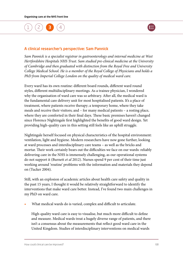

### A clinical researcher's perspective: Sam Pannick

*Sam Pannick is a specialist registrar in gastroenterology and internal medicine at West Hertfordshire Hospitals NHS Trust. Sam studied pre-clinical medicine at the University of Cambridge and then graduated with distinction from the Royal Free and University College Medical School. He is a member of the Royal College of Physicians and holds a PhD from Imperial College London on the quality of medical ward care.*

Every ward has its own routine: different board rounds, different ward round styles, different multidisciplinary meetings. As a trainee physician, I wondered why the organisation of ward care was so arbitrary. After all, the medical ward is the fundamental care delivery unit for most hospitalised patients. It's a place of treatment, where patients receive therapy; a temporary home, where they take meals and receive their visitors; and – for many medical patients – a resting place, where they are comforted in their final days. These basic premises haven't changed since Florence Nightingale first highlighted the benefits of good ward design. Yet providing high-quality care in this setting still feels like an uphill struggle.

Nightingale herself focused on physical characteristics of the hospital environment: ventilation, light and hygiene. Modern researchers have now gone further, looking at ward processes and interdisciplinary care teams – as well as the bricks and mortar. Their work certainly bears out the difficulties we face on our wards: reliably delivering care in the NHS is immensely challenging, as our operational systems do not support it (Burnett *et al* 2012). Nurses spend 9 per cent of their time just working around 'routine' problems with the information and materials they depend on (Tucker 2004).

Still, with an explosion of academic articles about health care safety and quality in the past 15 years, I thought it would be relatively straightforward to identify the interventions that make ward care better. Instead, I've found two main challenges in my PhD on ward care.

**•** What medical wards do is varied, complex and difficult to articulate.

High-quality ward care is easy to visualise, but much more difficult to define and measure. Medical wards treat a hugely diverse range of patients, and there isn't a consensus about the measurements that reflect good ward care in the United Kingdom. Studies of interdisciplinary interventions on medical wards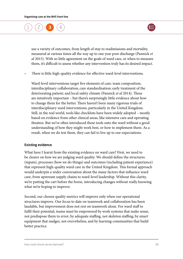

use a variety of outcomes, from length of stay to readmissions and mortality, measured at various times all the way up to one year post-discharge (Pannick *et al* 2015). With so little agreement on the goals of ward care, or when to measure them, it's difficult to assess whether any intervention truly has its desired impact.

**•** There is little high-quality evidence for effective ward-level interventions.

Ward-level interventions target five elements of care: team composition; interdisciplinary collaboration; care standardisation; early treatment of the deteriorating patient; and local safety climate (Pannick *et al* 2014). These are intuitively important – but there's surprisingly little evidence about how to change them for the better. There haven't been many rigorous trials of interdisciplinary ward interventions, particularly in the United Kingdom. Still, in the real world, tools like checklists have been widely adopted – mostly based on evidence from other clinical areas, like intensive care and operating theatres. But we've often introduced these tools onto the ward without a good understanding of how they might work best, or how to implement them. As a result, when we do test them, they can fail to live up to our expectations.

#### Existing evidence

What have I learnt from the existing evidence on ward care? First, we need to be clearer on how we are judging ward quality. We should define the structures (inputs), processes (how we do things) and outcomes (including patient experience) that represent high-quality ward care in the United Kingdom. This formal approach would underpin a wider conversation about the many factors that influence ward care, from upstream supply chains to ward-level leadership. Without this clarity, we're putting the cart before the horse, introducing changes without really knowing what we're hoping to improve.

Second, our chosen quality metrics will improve only when our operational structures improve. Our focus to date on teamwork and collaboration has been laudable, but improvement does not rest on teamwork alone. For ward staff to fulfil their potential, teams must be empowered by work systems that make sense, not predispose them to error; by adequate staffing, not skeleton staffing; by smart equipment that nudges, not overwhelms; and by learning communities that build better practice.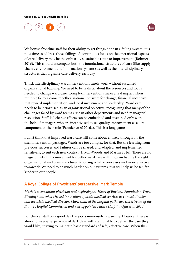

We lionise frontline staff for their ability to get things done in a failing system; it is now time to address those failings. A continuous focus on the operational aspects of care delivery may be the only truly sustainable route to improvement (Bohmer 2016). This should encompass both the foundational structures of care (like supply chains, environment and information systems) as well as the interdisciplinary structures that organise care delivery each day.

Third, interdisciplinary ward interventions rarely work without sustained organisational backing. We need to be realistic about the resources and focus needed to change ward care. Complex interventions make a real impact when multiple factors come together: national pressure for change, financial incentives that reward implementation, and local investment and leadership. Ward care needs to be prioritised as an organisational objective, recognising that many of the challenges faced by ward teams arise in other departments and need managerial resolution. Staff-led change efforts can be embedded and sustained only with the help of managers who are incentivised to see quality improvement as a key component of their role (Pannick *et al* 2016a). This is a long game.

I don't think that improved ward care will come about entirely through off-theshelf intervention packages. Wards are too complex for that. But the learning from previous successes and failures can be shared, and adapted, and implemented sensitively, to suit each new context (Dixon-Woods and Martin 2016). There are no magic bullets, but a movement for better ward care will hinge on having the right organisational and team structures, fostering reliable processes and more effective teamwork. We need to be much harder on our systems: this will help us be far, far kinder to our people.

# A Royal College of Physicians' perspective: Mark Temple

*Mark is a consultant physician and nephrologist, Heart of England Foundation Trust, Birmingham, where he led innovation of acute medical services as clinical director and associate medical director. Mark chaired the hospital pathways workstream of the Future Hospital Commission and was appointed Future Hospital Officer in 2014.* 

For clinical staff on a good day the job is immensely rewarding. However, there is almost universal experience of dark days with staff unable to deliver the care they would like, striving to maintain basic standards of safe, effective care. When this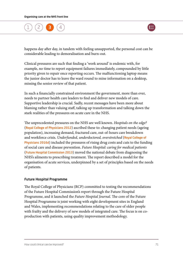

happens day after day, in tandem with feeling unsupported, the personal cost can be considerable leading to demoralisation and burn-out.

Clinical pressures are such that finding a 'work around' is endemic with, for example, no time to report equipment failures immediately, compounded by little priority given to repair once reporting occurs. The malfunctioning laptop means the junior doctor has to leave the ward round to mine information on a desktop, missing the senior review of that patient.

In such a financially constrained environment the government, more than ever, needs to partner health care leaders to find and deliver new models of care. Supportive leadership is crucial. Sadly, recent messages have been more about blaming rather than valuing staff, talking up transformation and talking down the stark realities of the pressures on acute care in the NHS.

The unprecedented pressures on the NHS are well known. *Hospitals on the edge?* ([Royal College of Physicians 2012](www.rcplondon.ac.uk/guidelines-policy/hospitals-edge-time-action)) ascribed these to: changing patient needs (ageing population), increasing demand, fractured care, out-of-hours care breakdown and workforce crisis. *Underfunded, underdoctored, overstretched* ([Royal College of](www.rcplondon.ac.uk/guidelines-policy/underfunded-underdoctored-overstretched-nhs-2016)  [Physicians 2016d](www.rcplondon.ac.uk/guidelines-policy/underfunded-underdoctored-overstretched-nhs-2016)) included the pressures of rising drug costs and cuts to the funding of social care and disease prevention. *Future Hospital: caring for medical patients*  ([Future Hospital Commission 2013](www.rcplondon.ac.uk/projects/outputs/future-hospital-commission)) moved the national debate from diagnosing the NHS's ailments to prescribing treatment. The report described a model for the organisation of acute services, underpinned by a set of principles based on the needs of patients.

### Future Hospital Programme

The Royal College of Physicians (RCP) committed to testing the recommendations of the Future Hospital Commission's report through the Future Hospital Programme, and it launched the *Future Hospital Journal*. The core of the Future Hospital Programme is joint working with eight development sites in England and Wales, implementing recommendations relating to the care of older people with frailty and the delivery of new models of integrated care. The focus is on coproduction with patients, using quality improvement methodology.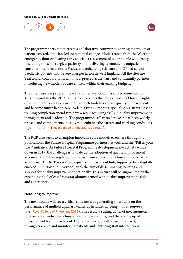### [1](#page-6-0) ) ([2](#page-16-0) ) (**[3](#page-49-0) )** ([4](#page-77-0)



The programme sets out to create a collaborative community sharing the results of patient-centred, clinician-led incremental change. Models range from the Worthing emergency floor evaluating early specialist assessment of older people with frailty (including those on surgical pathways), to delivering telemedicine outpatient consultations in rural north Wales, and enhancing self-care and GP-led care of paediatric patients with severe allergies in north-west England. All the sites are 'real world' collaborations, with hard-pressed acute trust and community partners introducing new models of care entirely within their existing budgets.

The chief registrar programme was another key Commission recommendation. This encapsulates the RCP's aspiration to access the clinical and workforce insights of junior doctors and to provide them with tools to catalyse quality improvement and become future health care leaders. Over 12 months, specialist registrars close to training completion spend two days a week acquiring skills in quality improvement, management and leadership. The programme, still in its first year, has been widely praised and complements initiatives to enhance the careers and working conditions of junior doctors ([Royal College of Physicians 2016a](www.rcplondon.ac.uk/guidelines-policy/being-junior-doctor), [c](www.rcplondon.ac.uk/guidelines-policy/keeping-medicine-brilliant)).

The RCP also seeks to champion innovative care models elsewhere through its publications, the Future Hospital Programme partners network and the 'Tell us your story' initiative. As Future Hospital Programme development site activity winds down in 2017, the challenge is to scale up the adoption of quality improvement as a means of delivering tangible change, from a handful of clinical sites to every acute trust. The RCP is creating a quality improvement hub, supported by a digitally enabled RCP North in Liverpool, with the aim of disseminating learning and support for quality improvement nationally. This in turn will be augmented by the expanding pool of chief registrar alumni, armed with quality improvement skills and experience.

#### Measuring to improve

The next decade will see a critical shift towards generating smart data on the performance of multidisciplinary teams, as heralded in *Using data to improve care* ([Royal College of Physicians 2015](www.rcplondon.ac.uk/guidelines-policy/acute-care-toolkit-11-using-data-improve-care)). The result: a scaling down of measurement for assurance (individual clinicians and organisations) and the scaling up of measurement for improvement. Digital technology will blossom (at last), through tracking and monitoring patients and capturing staff interventions.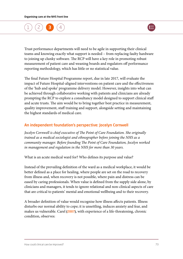



Trust performance departments will need to be agile in supporting their clinical teams and knowing exactly what support is needed – from replacing faulty hardware to joining up clunky software. The RCP will have a key role in promoting robust measurement of patient care and weaning boards and regulators off performance reporting methodology, which has little or no statistical value.

The final Future Hospital Programme report, due in late 2017, will evaluate the impact of Future Hospital-aligned interventions on patient care and the effectiveness of the 'hub and spoke' programme delivery model. However, insights into what can be achieved through collaborative working with patients and clinicians are already prompting the RCP to explore a consultancy model designed to support clinical staff and acute trusts. The aim would be to bring together best practice in measurement, quality improvement, staff training and support, alongside setting and maintaining the highest standards of medical care.

#### An independent foundation's perspective: Jocelyn Cornwell

*Jocelyn Cornwell is chief executive of The Point of Care Foundation. She originally trained as a medical sociologist and ethnographer before joining the NHS as a community manager. Before founding The Point of Care Foundation, Jocelyn worked in management and regulation in the NHS for more than 30 years.*

What is an acute medical ward for? Who defines its purpose and value?

Instead of the prevailing definition of the ward as a medical workplace, it would be better defined as a place for healing, where people are set on the road to recovery from illness and, when recovery is not possible, where pain and distress can be eased by caring professionals. When value is defined from the supply side alone, by clinicians and managers, it tends to ignore relational and non-clinical aspects of care that are critical to patients' mental and emotional wellbeing and to their recovery.

A broader definition of value would recognise how illness affects patients. Illness disturbs our normal ability to cope; it is unsettling, induces anxiety and fear, and makes us vulnerable. Carel [\(2007\)](www.independent.co.uk/news/people/profiles/havi-carel-my-10-year-death-sentence-5332425.html), with experience of a life-threatening, chronic condition, observes: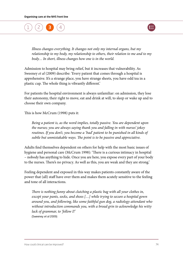[1](#page-6-0) ) ([2](#page-16-0) ) (**[3](#page-49-0) )** ([4](#page-77-0)



*Illness changes everything. It changes not only my internal organs, but my relationship to my body, my relationship to others, their relation to me and to my body… In short, illness changes how one is in the world.* 

Admission to hospital may bring relief, but it increases that vulnerability. As Sweeney *et al* (2009) describe: 'Every patient that comes through a hospital is apprehensive. It's a strange place, you have strange sheets, you have odd tea in a plastic cup. The whole thing is vibrantly different.'

For patients the hospital environment is always unfamiliar: on admission, they lose their autonomy, their right to move, eat and drink at will, to sleep or wake up and to choose their own company.

This is how McCrum (1998) puts it:

*Being a patient is, as the word implies, totally passive. You are dependent upon the nurses; you are always saying thank you and falling in with nurses' jokey routines. If you don't, you become a 'bad' patient to be punished in all kinds of subtle but unmistakable ways. The point is to be passive and appreciative.* 

Adults find themselves dependent on others for help with the most basic issues of hygiene and personal care (McCrum 1998): 'There is a curious intimacy in hospital – nobody has anything to hide. Once you are here, you expose every part of your body to the nurses. There's no privacy. As well as this, you are weak and they are strong.'

Feeling dependent and exposed in this way makes patients constantly aware of the power that (all) staff have over them and makes them acutely sensitive to the feeling and tone of all interactions.

*There is nothing funny about clutching a plastic bag with all your clothes in, except your pants, socks, and shoes […] while trying to secure a hospital gown around you, and following, like some faithful gun dog, a radiology attendant who without introduction commands you, with a broad grin to acknowledge his witty lack of grammar, to 'follow I!'* (Sweeney *et al* 2009)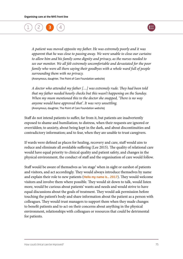



*A patient was moved opposite my father. He was extremely poorly and it was apparent that he was close to passing away. We were unable to close our curtains to allow him and his family some dignity and privacy, as the nurses needed to see our monitor. We all felt extremely uncomfortable and devastated for the poor family who were all there saying their goodbyes with a whole ward full of people surrounding them with no privacy.*  (Anonymous, daughter, The Point of Care Foundation website)

*A doctor who attended my father […] was extremely rude. They had been told that my father needed hourly checks but this wasn't happening on the Sunday. When my mum mentioned this to the doctor she snapped, 'There is no way anyone would have approved that'. It was very unsettling.*  (Anonymous, daughter, The Point of Care Foundation website)

Staff do not intend patients to suffer, far from it, but patients are inadvertently exposed to shame and humiliation; to distress, when their requests are ignored or overridden; to anxiety, about being kept in the dark, and about discontinuities and contradictory information; and to fear, when they are unable to trust caregivers.

If wards were defined as places for healing, recovery and care, staff would aim to reduce and eliminate all avoidable suffering (Lee 2015). The quality of relational care would have equal priority to clinical quality and patient safety, and changes in the physical environment, the conduct of staff and the organisation of care would follow.

Staff would be aware of themselves as 'on stage' when in sight or earshot of patients and visitors, and act accordingly. They would always introduce themselves by name and explain their role to new patients ([Hello my name is… 2017](http://hellomynameis.org.uk/)). They would welcome visitors and involve them where possible. They would sit down to talk, would listen more, would be curious about patients' wants and needs and would strive to have equal discussions about the goals of treatment. They would ask permission before touching the patient's body and share information about the patient as a person with colleagues. They would trust managers to support them when they made changes to benefit patients and to act on their concerns about anything in the physical environment, relationships with colleagues or resources that could be detrimental for patients.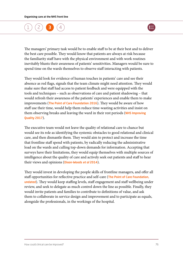### [1](#page-6-0) ) ([2](#page-16-0) ) (**[3](#page-49-0) )** ([4](#page-77-0)



The managers' primary task would be to enable staff to be at their best and to deliver the best care possible. They would know that patients are always at risk because the familiarity staff have with the physical environment and with work routines inevitably blunts their awareness of patients' sensitivities. Managers would be sure to spend time on the wards themselves to observe staff interacting with patients.

They would look for evidence of human touches in patients' care and see their absence as red flags, signals that the team climate might need attention. They would make sure that staff had access to patient feedback and were equipped with the tools and techniques – such as observations of care and patient shadowing – that would refresh their awareness of the patients' experiences and enable them to make improvements ([The Point of Care Foundation 2016](www.pointofcarefoundation.org.uk/resource/patient-family-centred-care-toolkit/)). They would be aware of how staff use their time, would help them reduce time-wasting activities and insist on them observing breaks and leaving the ward in their rest periods (NHS Improving [Quality 2017](www.theproductives.com/)).

The executive team would not leave the quality of relational care to chance but would see its role as identifying the systemic obstacles to good relational and clinical care, and then dismantle them. They would aim to protect and increase the time that frontline staff spend with patients, by radically reducing the administrative load on the wards and culling top-down demands for information. Accepting that surveys have their limitations, they would equip themselves with multiple sources of intelligence about the quality of care and actively seek out patients and staff to hear their views and opinions ([Dixon-Woods](http://qualitysafety.bmj.com/content/23/2/106) *et al* 2014).

They would invest in developing the people skills of frontline managers, and offer all staff opportunities for reflective practice and self-care (The Point of Care Foundation, [undated](www.pointofcarefoundation.org.uk/our-work/schwartz-rounds/)). They would keep staffing levels, staff engagement and staff wellbeing under review, and seek to delegate as much control down the line as possible. Finally, they would invite patients and families to contribute to definitions of value, and ask them to collaborate in service design and improvement and to participate as equals, alongside the professionals, in the workings of the hospital.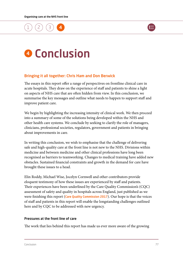<span id="page-77-0"></span>



# **4 Conclusion**

#### Bringing it all together: Chris Ham and Don Berwick

The essays in this report offer a range of perspectives on frontline clinical care in acute hospitals. They draw on the experience of staff and patients to shine a light on aspects of NHS care that are often hidden from view. In this conclusion, we summarise the key messages and outline what needs to happen to support staff and improve patient care.

We begin by highlighting the increasing intensity of clinical work. We then proceed into a summary of some of the solutions being developed within the NHS and other health care systems. We conclude by seeking to clarify the role of managers, clinicians, professional societies, regulators, government and patients in bringing about improvements in care.

In writing this conclusion, we wish to emphasise that the challenge of delivering safe and high-quality care at the front line is not new to the NHS. Divisions within medicine and between medicine and other clinical professions have long been recognised as barriers to teamworking. Changes to medical training have added new obstacles. Sustained financial constraints and growth in the demand for care have brought these issues to a head.

Elin Roddy, Michael Wise, Jocelyn Cornwell and other contributors provide eloquent testimony of how these issues are experienced by staff and patients. Their experiences have been underlined by the Care Quality Commission's (CQC) assessment of safety and quality in hospitals across England, just published as we were finishing this report ([Care Quality Commission 2017](www.cqc.org.uk/content/state-care-nhs-acute-hospitals)). Our hope is that the voices of staff and patients in this report will enable the longstanding challenges outlined here and by CQC to be addressed with new urgency.

#### Pressures at the front line of care

The work that lies behind this report has made us ever more aware of the growing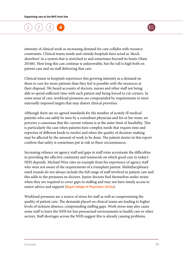

intensity of clinical work as increasing demand for care collides with resource constraints. Clinical teams inside and outside hospitals have acted as 'shock absorbers' in a system that is stretched to and sometimes beyond its limits (Ham 2016b). How long this can continue is unknowable, but the toll is high both on patient care and on staff delivering that care.

Clinical teams in hospitals experience this growing intensity as a demand on them to care for more patients than they feel is possible with the resources at their disposal. We heard accounts of doctors, nurses and other staff not being able to spend sufficient time with each patient and being forced to cut corners. In some areas of care, workload pressures are compounded by requirements to meet externally imposed targets that may distort clinical priorities.

Although there are no agreed standards for the number of acutely ill medical patients who can safely be seen by a consultant physician and his or her team, we perceive a consensus that the current volume is at the outer limit of feasibility. This is particularly the case when patients have complex needs that require time and expertise of different kinds to resolve and when the quality of decision-making may be affected by the amount of work to be done. The patient stories in this report confirm that safety is sometimes put at risk in these circumstances.

Increasing reliance on agency staff and gaps in staff rotas accentuate the difficulties in providing the effective continuity and teamwork on which good care in today's NHS depends. Michael Wise cites an example from his experience of agency staff who were not aware of the requirements of a transplant patient. Multidisciplinary ward rounds do not always include the full range of staff involved in patient care and this adds to the pressures on doctors. Junior doctors find themselves under strain when they are required to cover gaps in staffing and may not have timely access to senior advice and support ([Royal College of Physicians 2016a](www.rcplondon.ac.uk/guidelines-policy/being-junior-doctor)).

Workload pressures are a source of stress for staff as well as compromising the quality of patient care. The demands placed on clinical teams are leading to higher levels of sickness absence, compounding staffing gaps. Work stress may also cause some staff to leave the NHS for less pressurised environments in health care or other sectors. Staff shortages across the NHS suggest this is already causing problems.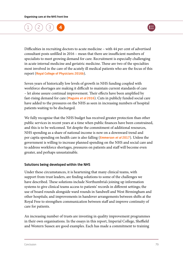

Difficulties in recruiting doctors to acute medicine – with 44 per cent of advertised consultant posts unfilled in 2016 – mean that there are insufficient numbers of specialists to meet growing demand for care. Recruitment is especially challenging in acute internal medicine and geriatric medicine. These are two of the specialties most involved in the care of the acutely ill medical patients who are the focus of this report ([Royal College of Physicians 2016b](www.rcplondon.ac.uk/projects/outputs/2015-16-census-uk-consultants-and-higher-specialty-trainees)).

Seven years of historically low levels of growth in NHS funding coupled with workforce shortages are making it difficult to maintain current standards of care – let alone assure continual improvement. Their effects have been amplified by fast-rising demand for care ([Maguire](www.kingsfund.org.uk/publications/hospital-activity-funding-changes) *et al* 2016). Cuts in publicly funded social care have added to the pressures on the NHS as seen in increasing numbers of hospital patients waiting to be discharged.

We fully recognise that the NHS budget has received greater protection than other public services in recent years at a time when public finances have been constrained, and this is to be welcomed. Yet despite the commitment of additional resources, NHS spending as a share of national income is now on a downward trend and per capita spending on health care is also falling ([Emmerson](www.ifs.org.uk/publications/8825) *et al* 2017). Unless the government is willing to increase planned spending on the NHS and social care and to address workforce shortages, pressures on patients and staff will become even greater, and perhaps unsustainable.

#### Solutions being developed within the NHS

Under these circumstances, it is heartening that many clinical teams, with support from trust leaders, are finding solutions to some of the challenges we have described. These solutions include Northumbria's joining up information systems to give clinical teams access to patients' records in different settings; the use of board rounds alongside ward rounds in Sandwell and West Birmingham and other hospitals; and improvements in handover arrangements between shifts at the Royal Free to strengthen communication between staff and improve continuity of care for patients.

An increasing number of trusts are investing in quality improvement programmes in their own organisations. In the essays in this report, Imperial College, Sheffield and Western Sussex are good examples. Each has made a commitment to training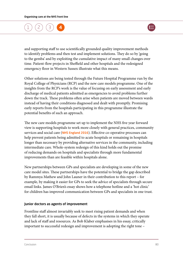

and supporting staff to use scientifically grounded quality improvement methods to identify problems and then test and implement solutions. They do so by 'going to the gemba' and by exploiting the cumulative impact of many small changes over time. Patient-flow projects in Sheffield and other hospitals and the redesigned emergency floor in Western Sussex illustrate what this means.

Other solutions are being tested through the Future Hospital Programme run by the Royal College of Physicians (RCP) and the new care models programme. One of the insights from the RCP's work is the value of focusing on early assessment and early discharge of medical patients admitted as emergencies to avoid problems further down the track. These problems often arise when patients are moved between wards instead of having their conditions diagnosed and dealt with promptly. Promising early reports from the hospitals participating in this programme illustrate the potential benefits of such an approach.

The new care models programme set up to implement the NHS five year forward view is supporting hospitals to work more closely with general practices, community services and social care ([NHS England 2016](www.england.nhs.uk/wp-content/uploads/2015/11/new_care_models.pdf)). Effective co-operative processes can help prevent patients being admitted to acute hospitals or remaining in hospitals longer than necessary by providing alternative services in the community, including intermediate care. Whole-system redesign of this kind holds out the promise of reducing demands on hospitals and specialists through more fundamental improvements than are feasible within hospitals alone.

New partnerships between GPs and specialists are developing in some of the new care model sites. These partnerships have the potential to bridge the gap described by Rammya Mathew and John Launer in their contribution to this report – for example, by making it easier for GPs to seek the advice of specialists through secure email links. James O'Brien's essay shows how a telephone hotline and a 'hot clinic' for children has improved communication between GPs and specialists in one trust.

#### Junior doctors as agents of improvement

Frontline staff almost invariably seek to meet rising patient demands and when they fall short, it is usually because of defects in the systems in which they operate and lack of staff and resources. As Bob Klaber emphasises in his essay, critically important to successful redesign and improvement is adopting the right tone –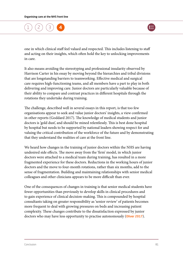

one in which clinical staff feel valued and respected. This includes listening to staff and acting on their insights, which often hold the key to unlocking improvements in care.

It also means avoiding the stereotyping and professional insularity observed by Harrison Carter in his essay by moving beyond the hierarchies and tribal divisions that are longstanding barriers to teamworking. Effective medical and surgical care requires high-functioning teams, and all members have a part to play in both delivering and improving care. Junior doctors are particularly valuable because of their ability to compare and contrast practices in different hospitals through the rotations they undertake during training.

The challenge, described well in several essays in this report, is that too few organisations appear to seek and value junior doctors' insights, a view confirmed in other reports (Goddard 2017). The knowledge of medical students and junior doctors is 'gold dust', and should be mined relentlessly. This is best done hospital by hospital but needs to be supported by national leaders showing respect for and valuing the critical contribution of the workforce of the future and by demonstrating that they understand the realities of care at the front line.

We heard how changes in the training of junior doctors within the NHS are having undesired side effects. The move away from the 'firm' model, in which junior doctors were attached to a medical team during training, has resulted in a more fragmented experience for these doctors. Reductions in the working hours of junior doctors and the move to four-month rotations, rather than six months, add to the sense of fragmentation. Building and maintaining relationships with senior medical colleagues and other clinicians appears to be more difficult than ever.

One of the consequences of changes in training is that senior medical students have fewer opportunities than previously to develop skills in clinical procedures and to gain experience of clinical decision-making. This is compounded by hospital consultants taking on greater responsibility as 'senior review' of patients becomes more frequent to deal with growing pressures on beds and increasing patient complexity. These changes contribute to the dissatisfaction expressed by junior doctors who may have less opportunity to practise autonomously ([Oliver 2017](www.bmj.com/content/356/bmj.j635)).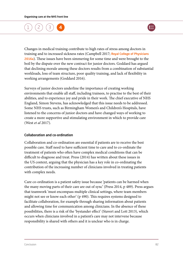

Changes in medical training contribute to high rates of stress among doctors in training and to increased sickness rates (Campbell 2017; Royal College of Physicians [2016a](www.rcplondon.ac.uk/guidelines-policy/being-junior-doctor)). These issues have been simmering for some time and were brought to the boil by the dispute over the new contract for junior doctors. Goddard has argued that declining morale among these doctors results from a combination of substantial workloads, loss of team structure, poor quality training, and lack of flexibility in working arrangements (Goddard 2016).

Surveys of junior doctors underline the importance of creating working environments that enable all staff, including trainees, to practise to the best of their abilities, and to experience joy and pride in their work. The chief executive of NHS England, Simon Stevens, has acknowledged that this issue needs to be addressed. Some NHS trusts, such as Birmingham Women's and Children's Hospitals, have listened to the concerns of junior doctors and have changed ways of working to create a more supportive and stimulating environment in which to provide care (West *et al* 2017).

#### Collaboration and co-ordination

Collaboration and co-ordination are essential if patients are to receive the best possible care. Staff need to have sufficient time to care and to co-ordinate the treatment of patients who often have complex medical conditions that can be difficult to diagnose and treat. Press (2014) has written about these issues in the US context, arguing that the physician has a key role in co-ordinating the contribution of the increasing number of clinicians involved in treating patients with complex needs.

Care co-ordination is a patient safety issue because 'patients can be harmed when the many moving parts of their care are out of sync' (Press 2014, p 489). Press argues that teamwork 'must encompass multiple clinical settings, where team members might not see or know each other' (p 490). This requires systems designed to facilitate collaboration, for example through sharing information about patients and allowing time for communication among clinicians. In the absence of these possibilities, there is a risk of the 'bystander effect' (Stavert and Lott 2013), which occurs when clinicians involved in a patient's care may not intervene because responsibility is shared with others and it is unclear who is in charge.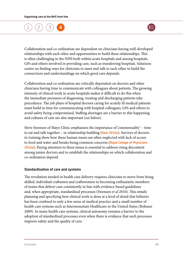

Collaboration and co-ordination are dependent on clinicians having well-developed relationships with each other and opportunities to build these relationships. This is often challenging in the NHS both within acute hospitals and among hospitals, GPs and others involved in providing care, such as transferring hospitals. Solutions centre on finding ways for clinicians to meet and talk to each other to build the connections and understandings on which good care depends.

Collaboration and co-ordination are critically dependent on doctors and other clinicians having time to communicate with colleagues about patients. The growing intensity of clinical work in acute hospitals makes it difficult to do this when the immediate pressures of diagnosing, treating and discharging patients take precedence. The job plans of hospital doctors caring for acutely ill medical patients must build in time for communicating with hospital colleagues, GPs and others to avoid safety being compromised. Staffing shortages are a barrier to this happening and cultures of care are also important (*see* below).

Steve Swensen of Mayo Clinic emphasises the importance of 'commensality' – time to eat and talk together – in relationship building ([Ham 2016a](www.kingsfund.org.uk/blog/2016/11/commensality-bring-back-lunch-break)). Surveys of doctors in training show how these human issues are often neglected with lack of access to food and water and breaks being common concerns (Royal College of Physicians [2016a](www.rcplondon.ac.uk/guidelines-policy/being-junior-doctor)). Paying attention to these issues is essential to address rising discontent among junior doctors and to establish the relationships on which collaboration and co-ordination depend.

#### Standardisation of care and systems

The revolution needed in health care delivery requires clinicians to move from being skilled, individual craftsmen and craftswomen to becoming enthusiastic members of teams that deliver care consistently in line with evidence-based guidelines and, when appropriate, standardised processes (Swensen *et al* 2010). This entails planning and specifying how clinical work is done at a level of detail that hitherto has been confined to only a few areas of medical practice and a small number of health care systems such as Intermountain Healthcare in the United States (Bohmer 2009). In many health care systems, clinical autonomy remains a barrier to the adoption of standardised processes even when there is evidence that such processes improve safety and the quality of care.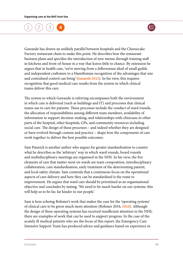

Gawande has drawn an unlikely parallel between hospitals and the Cheesecake Factory restaurant chain to make this point. He describes how the restaurant business plans and specifies the introduction of new menus through training staff in kitchens and front-of-house in a way that leaves little to chance. By extension he argues that in health care, 'we're moving from a Jeffersonian ideal of small guilds and independent craftsmen to a Hamiltonian recognition of the advantages that size and centralised control can bring' ([Gawande 2012](www.newyorker.com/magazine/2012/08/13/big-med)). In his view, this requires recognition that good medical care results from the system in which clinical teams deliver this care.

The system to which Gawande is referring encompasses both the environment in which care is delivered (such as buildings and IT) and processes that clinical teams use to care for patients. These processes include the conduct of ward rounds, the allocation of responsibilities among different team members, availability of information to support decision-making, and relationships with clinicians in other parts of the hospital, other hospitals, GPs, and community resources including social care. The design of these processes – and indeed whether they are designed or have evolved through custom and practice – shape how the components of care work together to deliver the best possible outcomes.

Sam Pannick is another author who argues for greater standardisation to counter what he describes as the 'arbitrary' way in which ward rounds, board rounds and multidisciplinary meetings are organised in the NHS. In his view, the five elements of care that matter most on wards are team composition, interdisciplinary collaboration, care standardisation, early treatment of the deteriorating patient, and local safety climate. Sam contends that a continuous focus on the operational aspects of care delivery and how they can be standardised is the route to improvement. He argues that ward care should be prioritised as an organisational objective and concludes by stating: 'We need to be much harder on our systems: this will help us to be far, far kinder to our people.'

Sam is here echoing Bohmer's work that makes the case for the 'operating systems' of clinical care to be given much more attention (Bohmer 2016, [2010](https://hbr.org/2010/04/fixing-health-care-on-the-front-lines)). Although the design of these operating systems has received insufficient attention in the NHS, there are examples of work that can be used to support progress. In the case of the acutely ill medical patients who are the focus of this report, the Emergency Care Intensive Support Team has produced advice and guidance based on experience in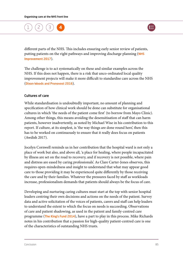

different parts of the NHS. This includes ensuring early senior review of patients, putting patients on the right pathways and improving discharge planning (NHS [Improvement 2017](https://improvement.nhs.uk/improvement-offers/ecip/)).

The challenge is to act systematically on these and similar examples across the NHS. If this does not happen, there is a risk that unco-ordinated local quality improvement projects will make it more difficult to standardise care across the NHS ([Dixon-Woods and Pronovost 2016](http://qualitysafety.bmj.com/content/25/7/485)).

#### Cultures of care

While standardisation is undoubtedly important, no amount of planning and specification of how clinical work should be done can substitute for organisational cultures in which 'the needs of the patient come first' (to borrow from Mayo Clinic). Among other things, this means avoiding the desensitisation of staff that can harm patients, however inadvertently, as noted by Michael Wise in his contribution to this report. If culture, at its simplest, is 'the way things are done round here', then this has to be worked on continuously to ensure that it really does focus on patients (Awdish 2017).

Jocelyn Cornwell reminds us in her contribution that the hospital ward is not only a place of work but also, and above all, 'a place for healing, where people incapacitated by illness are set on the road to recovery, and if recovery is not possible, where pain and distress are eased by caring professionals'. As Clare Carter-Jones observes, this requires open-mindedness and insight to understand that what may appear good care to those providing it may be experienced quite differently by those receiving the care and by their families. Whatever the pressures faced by staff as workloads increase, professionalism demands that patients should always be the focus of care.

Developing and nurturing caring cultures must start at the top with senior hospital leaders centring their own decisions and actions on the needs of the patient. Survey data and active solicitation of the voices of patients, carers and staff can help leaders to understand the extent to which the focus on needs is succeeding. Observations of care and patient shadowing, as used in the patient and family-centred care programme ([The King's Fund 2014](http://www.kingsfund.org.uk/projects/pfcc/what-pfcc-and-why-it-needed)), have a part to play in this process. Mike Richards notes in his contribution that a passion for high-quality patient-centred care is one of the characteristics of outstanding NHS trusts.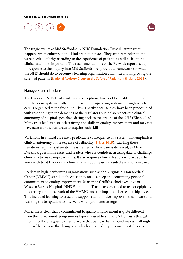

The tragic events at Mid Staffordshire NHS Foundation Trust illustrate what happens when cultures of this kind are not in place. They are a reminder, if one were needed, of why attending to the experience of patients as well as frontline clinical staff is so important. The recommendations of the Berwick report, set up in response to the inquiry into Mid Staffordshire, provide a framework on what the NHS should do to become a learning organisation committed to improving the safety of patients ([National Advisory Group on the Safety of Patients in England 2013](www.gov.uk/government/publications/berwick-review-into-patient-safety)).

#### Managers and clinicians

The leaders of NHS trusts, with some exceptions, have not been able to find the time to focus systematically on improving the operating systems through which care is organised at the front line. This is partly because they have been preoccupied with responding to the demands of the regulators but it also reflects the clinical autonomy of hospital specialists dating back to the origins of the NHS (Klein 2010). Many trust leaders also lack training and skills in quality improvement and may not have access to the resources to acquire such skills.

Variations in clinical care are a predictable consequence of a system that emphasises clinical autonomy at the expense of reliability ([Briggs 2015](www.boa.ac.uk/wp-content/uploads/2015/03/GIRFT-National-Report-MarN.pdf)). Tackling these variations requires systematic measurement of how care is delivered, as Mike Durkin argues in his essay, and leaders who are confident in using data to challenge clinicians to make improvements. It also requires clinical leaders who are able to work with trust leaders and clinicians in reducing unwarranted variations in care.

Leaders in high-performing organisations such as the Virginia Mason Medical Center (VMMC) stand out because they make a deep and continuing personal commitment to quality improvement. Marianne Griffiths, chief executive of Western Sussex Hospitals NHS Foundation Trust, has described to us her epiphany in learning about the work of the VMMC, and the impact on her leadership style. This included learning to trust and support staff to make improvements in care and resisting the temptation to intervene when problems emerge.

Marianne is clear that a commitment to quality improvement is quite different from the 'turnaround' programmes typically used to support NHS trusts that get into difficulty. She goes further to argue that being in turnaround makes it all nigh impossible to make the changes on which sustained improvement rests because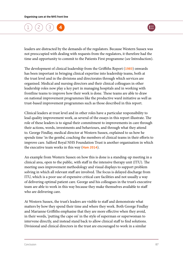

leaders are distracted by the demands of the regulators. Because Western Sussex was not preoccupied with dealing with requests from the regulators, it therefore had the time and opportunity to commit to the Patients First programme (*see* Introduction).

The development of clinical leadership from the Griffiths Report ([1983](http://www.nhshistory.net/griffiths.html)) onwards has been important in bringing clinical expertise into leadership teams, both at the trust level and in the divisions and directorates through which services are organised. Medical and nursing directors and their clinical colleagues in other leadership roles now play a key part in managing hospitals and in working with frontline teams to improve how their work is done. These teams are able to draw on national improvement programmes like the productive ward initiative as well as trust-based improvement programmes such as those described in this report.

Clinical leaders at trust level and in other roles have a particular responsibility to lead quality improvement work, as several of the essays in this report illustrate. The role of these leaders is to signal their commitment to improvements in care through their actions, words, investments and behaviours, and through what they attend to. George Findlay, medical director at Western Sussex, explained to us how he spends time 'in the gemba', coaching the members of clinical teams in their efforts to improve care. Salford Royal NHS Foundation Trust is another organisation in which the executive team works in this way ([Ham 2014](www.kingsfund.org.uk/time-to-think-differently/publications/reforming-nhs-within)).

An example from Western Sussex on how this is done is a standing-up meeting in a clinical area, open to the public, with staff in the intensive therapy unit (ITU). The meeting uses improvement methodology and visual displays to support problem solving in which all relevant staff are involved. The focus is delayed discharge from ITU, which is a poor use of expensive critical care facilities and not usually a way of delivering optimal patient care. George and his colleagues in the trust's executive team are able to work in this way because they make themselves available to staff who are delivering care.

At Western Sussex, the trust's leaders are visible to staff and demonstrate what matters by how they spend their time and where they work. Both George Findlay and Marianne Griffiths emphasise that they are more effective when they avoid, in their words, 'putting the cape on' in the style of superman or superwoman to intervene directly, and instead stand back to allow clinical staff to find solutions. Divisional and clinical directors in the trust are encouraged to work in a similar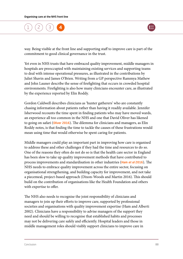

way. Being visible at the front line and supporting staff to improve care is part of the commitment to good clinical governance in the trust.

Yet even in NHS trusts that have embraced quality improvement, middle managers in hospitals are preoccupied with maintaining existing services and supporting teams to deal with intense operational pressures, as illustrated in the contributions by Juliet Shavin and James O'Brien. Writing from a GP perspective Rammya Mathew and John Launer describe the sense of firefighting that occurs in crowded hospital environments. Firefighting is also how many clinicians encounter care, as illustrated by the experience reported by Elin Roddy.

Gordon Caldwell describes clinicians as 'hunter gatherers' who are constantly chasing information about patients rather than having it readily available. Jennifer Isherwood recounts the time spent in finding patients who may have moved wards, an experience all too common in the NHS and one that David Oliver has likened to going on safari ([Oliver 2016](http://www.bmj.com/content/354/bmj.i5125)). The dilemma for clinicians and managers, as Elin Roddy notes, is that finding the time to tackle the causes of these frustrations would mean using time that would otherwise be spent caring for patients.

Middle managers could play an important part in improving how care is organised to address these and other challenges if they had the time and resources to do so. One of the reasons they often do not do so is that the health care sector in England has been slow to take up quality improvement methods that have contributed to process improvements and standardisation in other industries (Ham *et al* [2016](https://www.kingsfund.org.uk/publications/quality-improvement)). The NHS needs to embrace quality improvement across the entire sector, focusing on organisational strengthening, and building capacity for improvement, and not take a piecemeal, project-based approach (Dixon-Woods and Martin 2016). This should build on the contribution of organisations like the Health Foundation and others with expertise to offer.

The NHS also needs to recognise the joint responsibility of clinicians and managers to join up their efforts to improve care, supported by professional societies and organisations with quality improvement expertise (Ham and Alberti 2002). Clinicians have a responsibility to advise managers of the support they need and should be willing to recognise that established habits and processes may not be delivering care safely and efficiently. Hospital leaders and those in middle management roles should visibly support clinicians to improve care in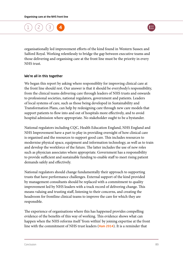



organisationally led improvement efforts of the kind found in Western Sussex and Salford Royal. Working relentlessly to bridge the gap between executive teams and those delivering and organising care at the front line must be the priority in every NHS trust.

#### We're all in this together

We began this report by asking where responsiblity for improving clinical care at the front line should rest. Our answer is that it should be everybody's responsibility, from the clinical teams delivering care through leaders of NHS trusts and onwards to professional societies, national regulators, government and patients. Leaders of local systems of care, such as those being developed in Sustainability and Transformation Plans, can help by redesigning care through new care models that support patients to flow into and out of hospitals more effectively, and to avoid hospital admission where appropriate. No stakeholder ought to be a bystander.

National regulators including CQC, Health Education England, NHS England and NHS Improvement have a part to play in providing oversight of how clinical care is organised and the resources to support good care. This includes resources to modernise physical space, equipment and information technology, as well as to train and develop the workforce of the future. The latter includes the use of new roles such as physician associates where appropriate. Government has a responsibility to provide sufficient and sustainable funding to enable staff to meet rising patient demands safely and effectively.

National regulators should change fundamentally their approach to supporting trusts that have performance challenges. External support of the kind provided by management consultants should be replaced with a commitment to quality improvement led by NHS leaders with a track record of delivering change. This means valuing and trusting staff, listening to their concerns, and creating the headroom for frontline clinical teams to improve the care for which they are responsible.

The experience of organisations where this has happened provides compelling evidence of the benefits of this way of working. This evidence shows what can happen when the NHS reforms itself 'from within' by joining expertise at the front line with the commitment of NHS trust leaders ([Ham 2014](www.kingsfund.org.uk/time-to-think-differently/publications/reforming-nhs-within)). It is a reminder that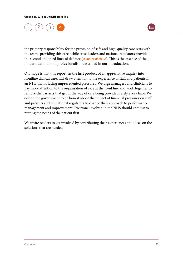

the primary responsibility for the provision of safe and high-quality care rests with the teams providing this care, while trust leaders and national regulators provide the second and third lines of defence ([Dixon](www.kingsfund.org.uk/publications/articles/preparing-francis-report-how-assure-quality-nhs) *et al* 2012). This is the essence of the modern definition of professionalism described in our introduction.

Our hope is that this report, as the first product of an appreciative inquiry into frontline clinical care, will draw attention to the experience of staff and patients in an NHS that is facing unprecedented pressures. We urge managers and clinicians to pay more attention to the organisation of care at the front line and work together to remove the barriers that get in the way of care being provided safely every time. We call on the government to be honest about the impact of financial pressures on staff and patients and on national regulators to change their approach to performance management and improvement. Everyone involved in the NHS should commit to putting the needs of the patient first.

We invite readers to get involved by contributing their experiences and ideas on the solutions that are needed.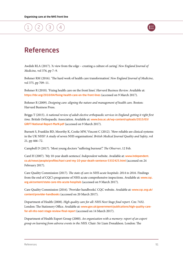



### References

Awdish RLA (2017). 'A view from the edge – creating a culture of caring'. *New England Journal of Medicine,* vol 376, pp 7–9.

Bohmer RM (2016). 'The hard work of health care transformation'. *New England Journal of Medicine*, vol 375, pp 709–11.

Bohmer R (2010). 'Fixing health care on the front lines'. *Harvard Business Review.* Available at: <https://hbr.org/2010/04/fixing-health-care-on-the-front-lines> (accessed on 9 March 2017).

Bohmer R (2009). *Designing care: aligning the nature and management of health care.* Boston: Harvard Business Press.

Briggs T (2015). *A national review of adult elective orthopaedic services in England: getting it right first time.* British Orthopaedic Association. Available at: [www.boa.ac.uk/wp-content/uploads/2015/03/](http://www.boa.ac.uk/wp-content/uploads/2015/03/GIRFT-National-Report-MarN.pdf) [GIRFT-National-Report-MarN.pdf](http://www.boa.ac.uk/wp-content/uploads/2015/03/GIRFT-National-Report-MarN.pdf) (accessed on 9 March 2017).

Burnett S, Franklin BD, Moorthy K, Cooke MW, Vincent C (2012). 'How reliable are clinical systems in the UK NHS? A study of seven NHS organisations'. *British Medical Journal Quality and Safety*, vol 21, pp 466–72.

Campbell D (2017). 'Most young doctors "suffering burnout".' *The Observer*, 12 Feb.

Carel H (2007). 'My 10-year death sentence'. *Independent* website. Available at: [www.independent.](http://www.independent.co.uk/news/people/profiles/havi-carel-my-10-year-death-sentence-5332425.html) [co.uk/news/people/profiles/havi-carel-my-10-year-death-sentence-5332425.html](http://www.independent.co.uk/news/people/profiles/havi-carel-my-10-year-death-sentence-5332425.html) (accessed on 24 February 2017).

Care Quality Commission (2017). *The state of care in NHS acute hospitals: 2014 to 2016.* Findings from the end of CQC's programme of NHS acute comprehensive inspections. Available at: [www.cqc.](http://www.cqc.org.uk/content/state-care-nhs-acute-hospitals) [org.uk/content/state-care-nhs-acute-hospitals](http://www.cqc.org.uk/content/state-care-nhs-acute-hospitals) (accessed on 9 March 2017).

Care Quality Commission (2016). 'Provider handbooks'. CQC website. Available at: [www.cqc.org.uk/](http://www.cqc.org.uk/content/provider-handbooks) [content/provider-handbooks](http://www.cqc.org.uk/content/provider-handbooks) (accessed on 20 March 2017).

Department of Health (2008). *High quality care for all: NHS Next Stage final report.* Cm: 7432. London: The Stationery Office. Available at: [www.gov.uk/government/publications/high-quality-care](http://www.gov.uk/government/publications/high-quality-care-for-all-nhs-next-stage-review-final-report)[for-all-nhs-next-stage-review-final-report](http://www.gov.uk/government/publications/high-quality-care-for-all-nhs-next-stage-review-final-report) (accessed on 14 March 2017).

Department of Health Expert Group (2000). *An organisation with a memory: report of an expert group on learning from adverse events in the NHS.* Chair: Sir Liam Donaldson. London: The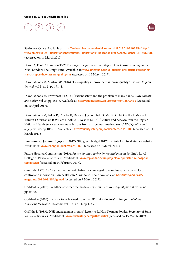

Stationery Office. Available at: [http://webarchive.nationalarchives.gov.uk/20130107105354/http://](http://webarchive.nationalarchives.gov.uk/20130107105354/http://www.dh.gov.uk/en/Publicationsandstatistics/Publications/PublicationsPolicyAndGuidance/DH_4065083) [www.dh.gov.uk/en/Publicationsandstatistics/Publications/PublicationsPolicyAndGuidance/DH\\_4065083](http://webarchive.nationalarchives.gov.uk/20130107105354/http://www.dh.gov.uk/en/Publicationsandstatistics/Publications/PublicationsPolicyAndGuidance/DH_4065083) (accessed on 14 March 2017).

Dixon A, Foot C, Harrison T (2012). *Preparing for the Francis Report: how to assure quality in the NHS.* London: The King's Fund. Available at: [www.kingsfund.org.uk/publications/articles/preparing](http://www.kingsfund.org.uk/publications/articles/preparing-francis-report-how-assure-quality-nhs)[francis-report-how-assure-quality-nhs](http://www.kingsfund.org.uk/publications/articles/preparing-francis-report-how-assure-quality-nhs) (accessed on 15 March 2017).

Dixon-Woods M, Martin GP (2016). 'Does quality improvement improve quality?'. *Future Hospital Journal,* vol 3, no 3, pp 191–4.

Dixon-Woods M, Provonost P (2016). 'Patient safety and the problem of many hands.' *BMJ Quality and Safety*, vol 25, pp 485–8. Available at: http://qualitysafety.bmj.com/content/25/7/485 (Accessed on 10 April 2017).

Dixon-Woods M, Baker R, Charles K, Dawson J, Jerzembek G, Martin G, McCarthy I, McKee L, Minion J, Ozieranski P, Willars J, Wilkie P, West M (2014). 'Culture and behaviour in the English National Health Service: overview of lessons from a large multimethod study'. *BMJ Quality and Safety*, vol 23, pp 106–15. Available at: <http://qualitysafety.bmj.com/content/23/2/106> (accessed on 14 March 2017).

Emmerson C, Johnson P, Joyce R (2017). 'IFS green budget 2017'. Institute for Fiscal Studies website. Available at: [www.ifs.org.uk/publications/8825](http://www.ifs.org.uk/publications/8825) (accessed on 9 March 2017).

Future Hospital Commission (2013). *Future hospital: caring for medical patients* [online]. Royal College of Physicians website. Available at: [www.rcplondon.ac.uk/projects/outputs/future-hospital](http://www.rcplondon.ac.uk/projects/outputs/future-hospital-commission)[commission](http://www.rcplondon.ac.uk/projects/outputs/future-hospital-commission) (accessed on 24 February 2017).

Gawande A (2012). 'Big med: restaurant chains have managed to combine quality control, cost control and innovation. Can health care?'. *The New Yorker.* Available at: [www.newyorker.com/](http://www.newyorker.com/magazine/2012/08/13/big-med) [magazine/2012/08/13/big-med](http://www.newyorker.com/magazine/2012/08/13/big-med) (accessed on 9 March 2017).

Goddard A (2017). 'Whither or wither the medical registrar?'. *Future Hospital Journal,* vol 4, no 1, pp 39–43.

Goddard A (2016). 'Lessons to be learned from the UK junior doctors' strike'. *Journal of the American Medical Association*, vol 316, no 14, pp 1445–6.

Griffiths R (1983). 'NHS management inquiry'. Letter to Rt Hon Norman Fowler, Secretary of State for Social Services. Available at: [www.nhshistory.net/griffiths.html](http://www.nhshistory.net/griffiths.html) (accessed on 15 March 2017).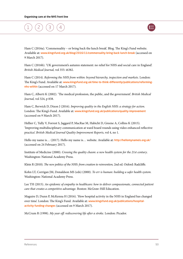

Ham C (2016a). 'Commensality – or bring back the lunch break'. Blog. The King's Fund website. Available at: [www.kingsfund.org.uk/blog/2016/11/commensality-bring-back-lunch-break](http://www.kingsfund.org.uk/blog/2016/11/commensality-bring-back-lunch-break) (accessed on 9 March 2017).

Ham C (2016b). 'UK government's autumn statement: no relief for NHS and social care in England'. *British Medical Journal,* vol 355: i6382.

Ham C (2014). *Reforming the NHS from within: beyond hierarchy, inspection and markets.* London: The King's Fund. Available at: [www.kingsfund.org.uk/time-to-think-differently/publications/reforming](http://www.kingsfund.org.uk/time-to-think-differently/publications/reforming-nhs-within)[nhs-within](http://www.kingsfund.org.uk/time-to-think-differently/publications/reforming-nhs-within) (accessed on 17 March 2017).

Ham C, Alberti K (2002). 'The medical profession, the public, and the government'. *British Medical Journal,* vol 324, p 838.

Ham C, Berwick D, Dixon J (2016). *Improving quality in the English NHS: a strategy for action.*  London: The King's Fund. Available at: [www.kingsfund.org.uk/publications/quality-improvement](https://www.kingsfund.org.uk/publications/quality-improvement) (accessed on 9 March 2017).

Hellier C, Tully V, Forrest S, Jaggard P, MacRae M, Habicht D, Greene A, Collins K (2015). 'Improving multidisciplinary communication at ward board rounds using video enhanced reflective practice'. *British Medical Journal Quality Improvement Reports*, vol 4, no 1.

Hello my name is… (2017). Hello my name is… website. Available at: <http://hellomynameis.org.uk/> (accessed on 24 February 2017).

Institute of Medicine (2000). *Crossing the quality chasm: a new health system for the 21st century*. Washington: National Academy Press.

Klein R (2010). *The new politics of the NHS: from creation to reinvention,* 2nd ed. Oxford: Radcliffe.

Kohn LT, Corrigan JM, Donaldson MS (eds) (2000). *To err is human: building a safer health system.*  Washington: National Academy Press.

Lee TH (2015). *An epidemic of empathy in healthcare: how to deliver compassionate, connected patient care that creates a competitive advantage.* Boston: McGraw-Hill Education.

Maguire D, Dunn P, McKenna H (2016). 'How hospital activity in the NHS in England has changed over time'. London: The King's Fund. Available at: [www.kingsfund.org.uk/publications/hospital](http://www.kingsfund.org.uk/publications/hospital-activity-funding-changes)[activity-funding-changes](http://www.kingsfund.org.uk/publications/hospital-activity-funding-changes) (accessed on 9 March 2017).

McCrum R (1998). *My year off: rediscovering life after a stroke.* London: Picador.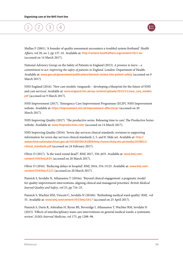

Mullan F (2001). 'A founder of quality assessment encounters a troubled system firsthand.' *Health Affairs*, vol 20, no 1, pp 137–41. Available at: <http://content.healthaffairs.org/content/20/1.toc> (accessed on 14 March 2017).

National Advisory Group on the Safety of Patients in England (2013). *A promise to learn – a commitment to act: improving the safety of patients in England.* London: Department of Health. Available at: [www.gov.uk/government/publications/berwick-review-into-patient-safety](http://www.gov.uk/government/publications/berwick-review-into-patient-safety) (accessed on 9 March 2017).

NHS England (2016). 'New care models: vanguards – developing a blueprint for the future of NHS and care services'. Available at: [www.england.nhs.uk/wp-content/uploads/2015/11/new\\_care\\_models.](http://www.england.nhs.uk/wp-content/uploads/2015/11/new_care_models.pdf) [pdf](http://www.england.nhs.uk/wp-content/uploads/2015/11/new_care_models.pdf) (accessed on 9 March 2017).

NHS Improvement (2017). 'Emergency Care Improvement Programme (ECIP). NHS Improvement website. Available at: <https://improvement.nhs.uk/improvement-offers/ecip/> (accessed on 20 March 2017).

NHS Improving Quality (2017). 'The productive series. Releasing time to care'. The Productive Series website. Available at: [www.theproductives.com/](http://www.theproductives.com/) (accessed on 14 March 2017).

NHS Improving Quality (2016). 'Seven day services clinical standards: revisions to supporting information for seven day services clinical standards 2, 5, and 8'. Slide set. Available at: [http://](http://webarchive.nationalarchives.gov.uk/20160506181809/http://www.nhsiq.nhs.uk/media/2638611/clinical_standards.pdf) [webarchive.nationalarchives.gov.uk/20160506181809/http://www.nhsiq.nhs.uk/media/2638611/](http://webarchive.nationalarchives.gov.uk/20160506181809/http://www.nhsiq.nhs.uk/media/2638611/clinical_standards.pdf) [clinical\\_standards.pdf](http://webarchive.nationalarchives.gov.uk/20160506181809/http://www.nhsiq.nhs.uk/media/2638611/clinical_standards.pdf) (accessed on 24 February 2017).

Oliver D (2017). 'Is the ward round dead?'. *BMJ,* 2017, 356: j635. Available at: [www.bmj.com/](http://www.bmj.com/content/356/bmj.j635) [content/356/bmj.j635](http://www.bmj.com/content/356/bmj.j635) (accessed on 20 March 2017).

Oliver D (2016). 'Reducing delays in hospital'. *BMJ,* 2016*,* 354: i5125. Available at: [www.bmj.com/](http://www.bmj.com/content/354/bmj.i5125) [content/354/bmj.i5125](http://www.bmj.com/content/354/bmj.i5125) (accessed on 20 March 2017).

Pannick S, Sevdalis N, Athanasiou T (2016a). 'Beyond clinical engagement: a pragmatic model for quality improvement interventions, aligning clinical and managerial priorities'. *British Medical Journal Quality and Safety*, vol 25, pp 716–25.

Pannick S, Wachter RM, Vincent C, Sevdalis N (2016b). 'Rethinking medical ward quality.' *BMJ*, vol 55. Available at: www.bmj.com/content/355/bmj.i5417 (accessed on 25 April 2017).

Pannick S, Davis R, Ashrafian H, Byrne BE, Beveridge I, Athanasiou T, Wachter RM, Sevdalis N (2015). 'Effects of interdisciplinary team care interventions on general medical wards: a systematic review'. *JAMA Internal Medicine*, vol 175, pp 1288–98.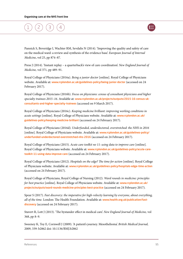

Pannick S, Beveridge I, Wachter RM, Sevdalis N (2014). 'Improving the quality and safety of care on the medical ward: a review and synthesis of the evidence base'. *European Journal of Internal Medicine*, vol 25, pp 874–87.

Press J (2014). 'Instant replay – a quarterback's view of care coordination'. *New England Journal of Medicine,* vol 371, pp 489–91.

Royal College of Physicians (2016a). *Being a junior doctor* [online]. Royal College of Physicians website. Available at: [www.rcplondon.ac.uk/guidelines-policy/being-junior-doctor](http://www.rcplondon.ac.uk/guidelines-policy/being-junior-doctor) (accessed on 24 February 2017).

Royal College of Physicians (2016b). *Focus on physicians: census of consultant physicians and higher specialty trainees 2015–16.* Available at: [www.rcplondon.ac.uk/projects/outputs/2015-16-census-uk](http://www.rcplondon.ac.uk/projects/outputs/2015-16-census-uk-consultants-and-higher-specialty-trainees)[consultants-and-higher-specialty-trainees](http://www.rcplondon.ac.uk/projects/outputs/2015-16-census-uk-consultants-and-higher-specialty-trainees) (accessed on 9 March 2017).

Royal College of Physicians (2016c). *Keeping medicine brilliant: improving working conditions in acute settings* [online]. Royal College of Physicians website. Available at: [www.rcplondon.ac.uk/](http://www.rcplondon.ac.uk/guidelines-policy/keeping-medicine-brilliant) [guidelines-policy/keeping-medicine-brilliant](http://www.rcplondon.ac.uk/guidelines-policy/keeping-medicine-brilliant) (accessed on 24 February 2017).

Royal College of Physicians (2016d). *Underfunded, underdoctored, overstretched: the NHS in 2016*  [online]. Royal College of Physicians website. Available at: [www.rcplondon.ac.uk/guidelines-policy/](http://www.rcplondon.ac.uk/guidelines-policy/underfunded-underdoctored-overstretched-nhs-2016) [underfunded-underdoctored-overstretched-nhs-2016](http://www.rcplondon.ac.uk/guidelines-policy/underfunded-underdoctored-overstretched-nhs-2016) (accessed on 24 February 2017).

Royal College of Physicians (2015). *Acute care toolkit no 11: using data to improve care* [online]. Royal College of Physicians website. Available at: [www.rcplondon.ac.uk/guidelines-policy/acute-care](http://www.rcplondon.ac.uk/guidelines-policy/acute-care-toolkit-11-using-data-improve-care)[toolkit-11-using-data-improve-care](http://www.rcplondon.ac.uk/guidelines-policy/acute-care-toolkit-11-using-data-improve-care) (accessed on 24 February 2017).

Royal College of Physicians (2012). *Hospitals on the edge? The time for action* [online]. Royal College of Physicians website. Available at: [www.rcplondon.ac.uk/guidelines-policy/hospitals-edge-time-action](http://www.rcplondon.ac.uk/guidelines-policy/hospitals-edge-time-action) (accessed on 24 February 2017).

Royal College of Physicians, Royal College of Nursing (2012). *Ward rounds in medicine: principles for best practice* [online]. Royal College of Physicians website. Available at: [www.rcplondon.ac.uk/](http://www.rcplondon.ac.uk/projects/outputs/ward-rounds-medicine-principles-best-practice) [projects/outputs/ward-rounds-medicine-principles-best-practice](http://www.rcplondon.ac.uk/projects/outputs/ward-rounds-medicine-principles-best-practice) (accessed on 24 February 2017).

Spear S (2017). *Fast discovery: the imperative for high-velocity learning by everyone, about everything, all of the time.* London: The Health Foundation. Available at: [www.health.org.uk/publication/fast](http://www.health.org.uk/publication/fast-discovery)[discovery](http://www.health.org.uk/publication/fast-discovery) (accessed on 24 February 2017).

Stavert R, Lott J (2013). 'The bystander effect in medical care'. *New England Journal of Medicine,* vol 368, pp 8–9.

Sweeney K, Toy E, Cornwell J (2009). 'A patient's journey. Mesothelioma'. *British Medical Journal,*  2009, 339: b2862 doi: 10.1136/BMJ.b2862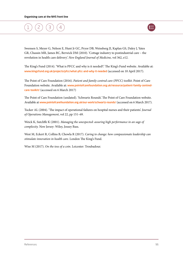

Swensen S, Meyer G, Nelson E, Hunt Jr GC, Pryor DB, Weissberg JI, Kaplan GS, Daley J, Yates GR, Chassin MR, James BC, Berwick DM (2010). 'Cottage industry to postindustrial care – the revolution in health care delivery'. *New England Journal of Medicine,* vol 362, e12.

The King's Fund (2014). 'What is PFCC and why is it needed?.' The King's Fund website. Available at: www.kingsfund.org.uk/projects/pfcc/what-pfcc-and-why-it-needed (accessed on 10 April 2017).

The Point of Care Foundation (2016). *Patient and family-centred care (PFCC) toolkit*. Point of Care Foundation website. Available at: [www.pointofcarefoundation.org.uk/resource/patient-family-centred](http://www.pointofcarefoundation.org.uk/resource/patient-family-centred-care-toolkit/)[care-toolkit/](http://www.pointofcarefoundation.org.uk/resource/patient-family-centred-care-toolkit/) (accessed on 6 March 2017)

The Point of Care Foundation (undated). 'Schwartz Rounds'. The Point of Care Foundation website. Available at [www.pointofcarefoundation.org.uk/our-work/schwartz-rounds/](http://www.pointofcarefoundation.org.uk/our-work/schwartz-rounds/) (accessed on 6 March 2017).

Tucker AL (2004). 'The impact of operational failures on hospital nurses and their patients'. *Journal of Operations Management*, vol 22, pp 151–69.

Weick K, Sutcliffe K (2001). *Managing the unexpected: assuring high performance in an sage of complexity.* New Jersey: Wiley, Jossey Bass.

West M, Eckert R, Collins B, Chowla R (2017). *Caring to change: how compassionate leadership can stimulate innovation in health care*. London The King's Fund.

Wise M (2017). *On the toss of a coin*. Leicester: Troubadour.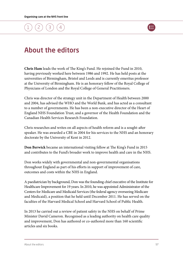

### About the editors

**Chris Ham** leads the work of The King's Fund. He rejoined the Fund in 2010, having previously worked here between 1986 and 1992. He has held posts at the universities of Birmingham, Bristol and Leeds and is currently emeritus professor at the University of Birmingham. He is an honorary fellow of the Royal College of Physicians of London and the Royal College of General Practitioners.

Chris was director of the strategy unit in the Department of Health between 2000 and 2004, has advised the WHO and the World Bank, and has acted as a consultant to a number of governments. He has been a non-executive director of the Heart of England NHS Foundation Trust, and a governor of the Health Foundation and the Canadian Health Services Research Foundation.

Chris researches and writes on all aspects of health reform and is a sought-after speaker. He was awarded a CBE in 2004 for his services to the NHS and an honorary doctorate by the University of Kent in 2012.

**Don Berwick** became an international visiting fellow at The King's Fund in 2015 and contributes to the Fund's broader work to improve health and care in the NHS.

Don works widely with governmental and non-governmental organisations throughout England as part of his efforts in support of improvement of care, outcomes and costs within the NHS in England.

A paediatrician by background, Don was the founding chief executive of the Institute for Healthcare Improvement for 19 years. In 2010, he was appointed Administrator of the Centers for Medicare and Medicaid Services (the federal agency overseeing Medicare and Medicaid), a position that he held until December 2011. He has served on the faculties of the Harvard Medical School and Harvard School of Public Health.

In 2013 he carried out a review of patient safety in the NHS on behalf of Prime Minister David Cameron. Recognised as a leading authority on health care quality and improvement, Don has authored or co-authored more than 160 scientific articles and six books.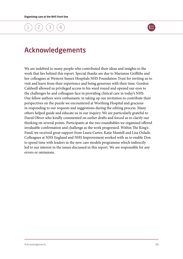

### Acknowledgements

We are indebted to many people who contributed their ideas and insights to the work that lies behind this report. Special thanks are due to Marianne Griffiths and her colleagues at Western Sussex Hospitals NHS Foundation Trust for inviting us to visit and learn from their experience and being generous with their time. Gordon Caldwell allowed us privileged access to his ward round and opened our eyes to the challenges he and colleagues face in providing clinical care in today's NHS. Our fellow authors were enthusiastic in taking up our invitation to contribute their perspectives on the puzzle we encountered at Worthing Hospital and gracious in responding to our requests and suggestions during the editing process. Many others helped guide and educate us in our inquiry. We are particularly grateful to David Oliver who kindly commented on earlier drafts and forced us to clarify our thinking on several points. Participants at the two roundtables we organised offered invaluable confirmation and challenge as the work progressed. Within The King's Fund, we received great support from Laura Carter, Katie Mantell and Lisa Oxlade. Colleagues at NHS England and NHS Improvement worked with us to enable Don to spend time with leaders in the new care models programme which indirectly led to our interest in the issues discussed in this report. We are responsible for any errors or omissions.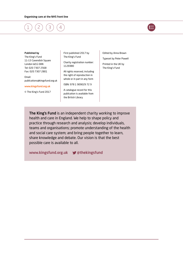

#### Published by

The King's Fund 11–13 Cavendish Square London W1G 0AN Tel: 020 7307 2568 Fax: 020 7307 2801

Email: publications@kingsfund.org.uk

#### [www.kingsfund.org.uk](http://www.kingsfund.org.uk)

© The King's Fund 2017

First published 2017 by The King's Fund

Charity registration number: 1126980

All rights reserved, including the right of reproduction in whole or in part in any form

ISBN: 978 1 909029 72 9

A catalogue record for this publication is available from the British Library

Edited by Anna Brown

Typeset by Peter Powell

Printed in the UK by The King's Fund

The King's Fund is an independent charity working to improve health and care in England. We help to shape policy and practice through research and analysis; develop individuals, teams and organisations; promote understanding of the health and social care system; and bring people together to learn, share knowledge and debate. Our vision is that the best possible care is available to all.

www.kingsfund.org.uk **y** @thekingsfund